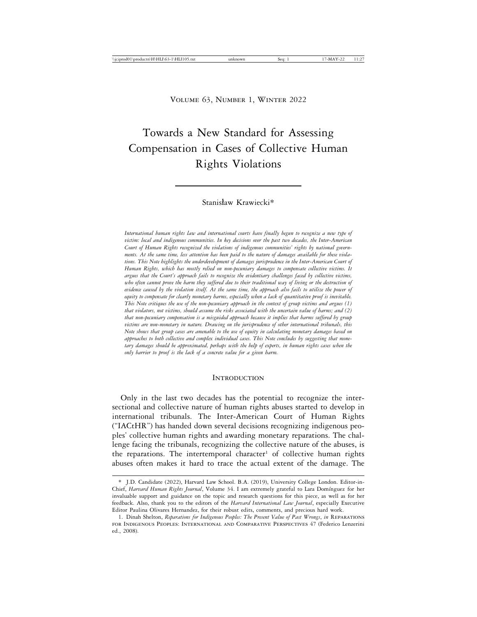# Towards a New Standard for Assessing Compensation in Cases of Collective Human Rights Violations

## Stanisław Krawiecki\*

*International human rights law and international courts have finally begun to recognize a new type of victim: local and indigenous communities. In key decisions over the past two decades, the Inter-American Court of Human Rights recognized the violations of indigenous communities' rights by national governments. At the same time, less attention has been paid to the nature of damages available for these violations. This Note highlights the underdevelopment of damages jurisprudence in the Inter-American Court of Human Rights, which has mostly relied on non-pecuniary damages to compensate collective victims. It argues that the Court's approach fails to recognize the evidentiary challenges faced by collective victims, who often cannot prove the harm they suffered due to their traditional way of living or the destruction of evidence caused by the violation itself. At the same time, the approach also fails to utilize the power of equity to compensate for clearly monetary harms, especially when a lack of quantitative proof is inevitable. This Note critiques the use of the non-pecuniary approach in the context of group victims and argues (1) that violators, not victims, should assume the risks associated with the uncertain value of harms; and (2) that non-pecuniary compensation is a misguided approach because it implies that harms suffered by group victims are non-monetary in nature. Drawing on the jurisprudence of other international tribunals, this Note shows that group cases are amenable to the use of equity in calculating monetary damages based on approaches to both collective and complex individual cases. This Note concludes by suggesting that monetary damages should be approximated, perhaps with the help of experts, in human rights cases when the only barrier to proof is the lack of a concrete value for a given harm.*

#### **INTRODUCTION**

Only in the last two decades has the potential to recognize the intersectional and collective nature of human rights abuses started to develop in international tribunals. The Inter-American Court of Human Rights ("IACtHR") has handed down several decisions recognizing indigenous peoples' collective human rights and awarding monetary reparations. The challenge facing the tribunals, recognizing the collective nature of the abuses, is the reparations. The intertemporal character<sup>1</sup> of collective human rights abuses often makes it hard to trace the actual extent of the damage. The

<sup>\*</sup> J.D. Candidate (2022), Harvard Law School. B.A. (2019), University College London. Editor-in-Chief, *Harvard Human Rights Journal*, Volume 34. I am extremely grateful to Lara Domínguez for her invaluable support and guidance on the topic and research questions for this piece, as well as for her feedback. Also, thank you to the editors of the *Harvard International Law Journal*, especially Executive Editor Paulina Olivares Hernandez, for their robust edits, comments, and precious hard work.

<sup>1.</sup> Dinah Shelton, *Reparations for Indigenous Peoples: The Present Value of Past Wrongs*, *in* Reparations for Indigenous Peoples: International and Comparative Perspectives 47 (Federico Lenzerini ed., 2008).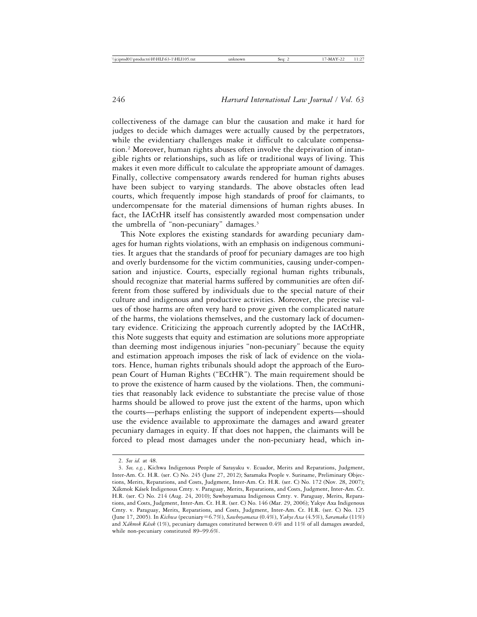collectiveness of the damage can blur the causation and make it hard for judges to decide which damages were actually caused by the perpetrators, while the evidentiary challenges make it difficult to calculate compensation.2 Moreover, human rights abuses often involve the deprivation of intangible rights or relationships, such as life or traditional ways of living. This makes it even more difficult to calculate the appropriate amount of damages. Finally, collective compensatory awards rendered for human rights abuses have been subject to varying standards. The above obstacles often lead courts, which frequently impose high standards of proof for claimants, to undercompensate for the material dimensions of human rights abuses. In fact, the IACtHR itself has consistently awarded most compensation under the umbrella of "non-pecuniary" damages.3

This Note explores the existing standards for awarding pecuniary damages for human rights violations, with an emphasis on indigenous communities. It argues that the standards of proof for pecuniary damages are too high and overly burdensome for the victim communities, causing under-compensation and injustice. Courts, especially regional human rights tribunals, should recognize that material harms suffered by communities are often different from those suffered by individuals due to the special nature of their culture and indigenous and productive activities. Moreover, the precise values of those harms are often very hard to prove given the complicated nature of the harms, the violations themselves, and the customary lack of documentary evidence. Criticizing the approach currently adopted by the IACtHR, this Note suggests that equity and estimation are solutions more appropriate than deeming most indigenous injuries "non-pecuniary" because the equity and estimation approach imposes the risk of lack of evidence on the violators. Hence, human rights tribunals should adopt the approach of the European Court of Human Rights ("ECtHR"). The main requirement should be to prove the existence of harm caused by the violations. Then, the communities that reasonably lack evidence to substantiate the precise value of those harms should be allowed to prove just the extent of the harms, upon which the courts—perhaps enlisting the support of independent experts—should use the evidence available to approximate the damages and award greater pecuniary damages in equity. If that does not happen, the claimants will be forced to plead most damages under the non-pecuniary head, which in-

<sup>2.</sup> *See id.* at 48.

<sup>3.</sup> *See, e.g.*, Kichwa Indigenous People of Sarayaku v. Ecuador, Merits and Reparations, Judgment, Inter-Am. Ct. H.R. (ser. C) No. 245 (June 27, 2012); Saramaka People v. Suriname, Preliminary Objections, Merits, Reparations, and Costs, Judgment, Inter-Am. Ct. H.R. (ser. C) No. 172 (Nov. 28, 2007); Xákmok Kásek Indigenous Cmty. v. Paraguay, Merits, Reparations, and Costs, Judgment, Inter-Am. Ct. H.R. (ser. C) No. 214 (Aug. 24, 2010); Sawhoyamaxa Indigenous Cmty. v. Paraguay, Merits, Reparations, and Costs, Judgment, Inter-Am. Ct. H.R. (ser. C) No. 146 (Mar. 29, 2006); Yakye Axa Indigenous Cmty. v. Paraguay, Merits, Reparations, and Costs, Judgment, Inter-Am. Ct. H.R. (ser. C) No. 125 (June 17, 2005). In *Kichwa* (pecuniary=6.7%), *Sawhoyamaxa* (0.4%), *Yakye Axa* (4.5%), *Saramaka* (11%) and *X´akmok K´asek* (1%), pecuniary damages constituted between 0.4% and 11% of all damages awarded, while non-pecuniary constituted 89–99.6%.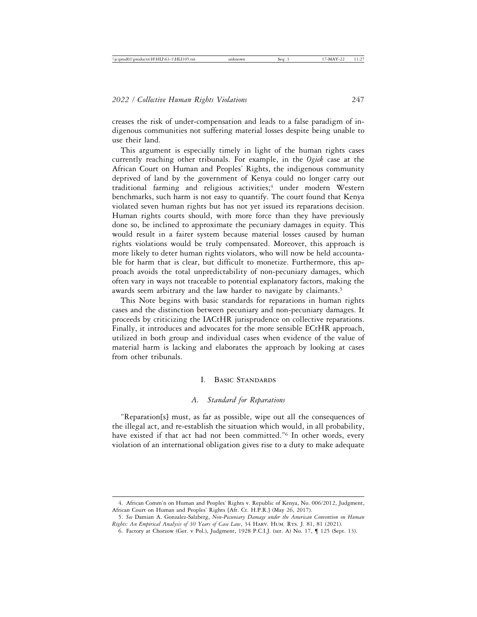creases the risk of under-compensation and leads to a false paradigm of indigenous communities not suffering material losses despite being unable to use their land.

This argument is especially timely in light of the human rights cases currently reaching other tribunals. For example, in the *Ogiek* case at the African Court on Human and Peoples' Rights, the indigenous community deprived of land by the government of Kenya could no longer carry out traditional farming and religious activities;<sup>4</sup> under modern Western benchmarks, such harm is not easy to quantify. The court found that Kenya violated seven human rights but has not yet issued its reparations decision. Human rights courts should, with more force than they have previously done so, be inclined to approximate the pecuniary damages in equity. This would result in a fairer system because material losses caused by human rights violations would be truly compensated. Moreover, this approach is more likely to deter human rights violators, who will now be held accountable for harm that is clear, but difficult to monetize. Furthermore, this approach avoids the total unpredictability of non-pecuniary damages, which often vary in ways not traceable to potential explanatory factors, making the awards seem arbitrary and the law harder to navigate by claimants.<sup>5</sup>

This Note begins with basic standards for reparations in human rights cases and the distinction between pecuniary and non-pecuniary damages. It proceeds by criticizing the IACtHR jurisprudence on collective reparations. Finally, it introduces and advocates for the more sensible ECtHR approach, utilized in both group and individual cases when evidence of the value of material harm is lacking and elaborates the approach by looking at cases from other tribunals.

#### I. Basic Standards

## *A. Standard for Reparations*

"Reparation[s] must, as far as possible, wipe out all the consequences of the illegal act, and re-establish the situation which would, in all probability, have existed if that act had not been committed."<sup>6</sup> In other words, every violation of an international obligation gives rise to a duty to make adequate

<sup>4.</sup> African Comm'n on Human and Peoples' Rights v. Republic of Kenya, No. 006/2012, Judgment, African Court on Human and Peoples' Rights [Afr. Ct. H.P.R.] (May 26, 2017).

<sup>5.</sup> *See* Damian A. Gonzalez-Salzberg, *Non-Pecuniary Damage under the American Convention on Human Rights: An Empirical Analysis of 30 Years of Case Law*, 34 Harv. Hum. Rts. J. 81, 81 (2021).

<sup>6.</sup> Factory at Chorzow (Ger. v Pol.), Judgment, 1928 P.C.I.J. (ser. A) No. 17, ¶ 125 (Sept. 13).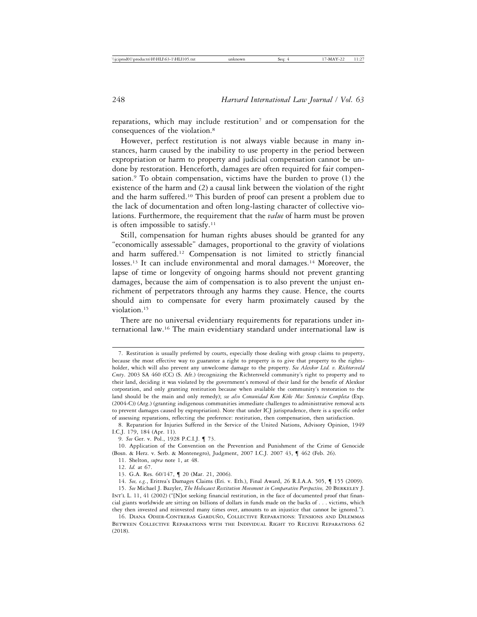reparations, which may include restitution<sup>7</sup> and or compensation for the consequences of the violation.8

However, perfect restitution is not always viable because in many instances, harm caused by the inability to use property in the period between expropriation or harm to property and judicial compensation cannot be undone by restoration. Henceforth, damages are often required for fair compensation.<sup>9</sup> To obtain compensation, victims have the burden to prove  $(1)$  the existence of the harm and (2) a causal link between the violation of the right and the harm suffered.10 This burden of proof can present a problem due to the lack of documentation and often long-lasting character of collective violations. Furthermore, the requirement that the *value* of harm must be proven is often impossible to satisfy.<sup>11</sup>

Still, compensation for human rights abuses should be granted for any "economically assessable" damages, proportional to the gravity of violations and harm suffered.12 Compensation is not limited to strictly financial losses.<sup>13</sup> It can include environmental and moral damages.<sup>14</sup> Moreover, the lapse of time or longevity of ongoing harms should not prevent granting damages, because the aim of compensation is to also prevent the unjust enrichment of perpetrators through any harms they cause. Hence, the courts should aim to compensate for every harm proximately caused by the violation.15

There are no universal evidentiary requirements for reparations under international law.16 The main evidentiary standard under international law is

<sup>7.</sup> Restitution is usually preferred by courts, especially those dealing with group claims to property, because the most effective way to guarantee a right to property is to give that property to the rightsholder, which will also prevent any unwelcome damage to the property. *See Alexkor Ltd. v. Richtersveld Cmty*. 2003 SA 460 (CC) (S. Afr.) (recognizing the Richtersveld community's right to property and to their land, deciding it was violated by the government's removal of their land for the benefit of Alexkor corporation, and only granting restitution because when available the community's restoration to the land should be the main and only remedy); see also Comunidad Kom Kiñe Mu: Sentencia Completa (Exp. (2004-C)) (Arg.) (granting indigenous communities immediate challenges to administrative removal acts to prevent damages caused by expropriation). Note that under ICJ jurisprudence, there is a specific order of assessing reparations, reflecting the preference: restitution, then compensation, then satisfaction.

<sup>8.</sup> Reparation for Injuries Suffered in the Service of the United Nations, Advisory Opinion, 1949 I.C.J. 179, 184 (Apr. 11).

<sup>9.</sup> *See* Ger. v. Pol., 1928 P.C.I.J. ¶ 73.

<sup>10.</sup> Application of the Convention on the Prevention and Punishment of the Crime of Genocide (Bosn. & Herz. v. Serb. & Montenegro), Judgment, 2007 I.C.J. 2007 43, ¶ 462 (Feb. 26).

<sup>11.</sup> Shelton, *supra* note 1, at 48.

<sup>12.</sup> *Id.* at 67.

<sup>13.</sup> G.A. Res. 60/147, ¶ 20 (Mar. 21, 2006).

<sup>14.</sup> *See, e.g.*, Eritrea's Damages Claims (Eri. v. Eth.), Final Award, 26 R.I.A.A. 505, ¶ 155 (2009).

<sup>15.</sup> *See* Michael J. Bazyler, *The Holocaust Restitution Movement in Comparative Perspective,* 20 Berkeley J. Int'l L. 11, 41 (2002) ("[N]ot seeking financial restitution, in the face of documented proof that financial giants worldwide are sitting on billions of dollars in funds made on the backs of . . . victims, which they then invested and reinvested many times over, amounts to an injustice that cannot be ignored.").

<sup>16.</sup> DIANA ODIER-CONTRERAS GARDUÑO, COLLECTIVE REPARATIONS: TENSIONS AND DILEMMAS Between Collective Reparations with the Individual Right to Receive Reparations 62 (2018).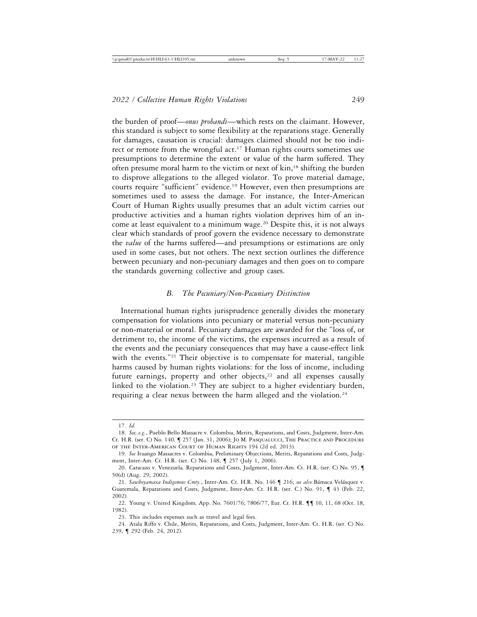the burden of proof—*onus probandi*—which rests on the claimant. However, this standard is subject to some flexibility at the reparations stage. Generally for damages, causation is crucial: damages claimed should not be too indirect or remote from the wrongful act.<sup>17</sup> Human rights courts sometimes use presumptions to determine the extent or value of the harm suffered. They often presume moral harm to the victim or next of kin,<sup>18</sup> shifting the burden to disprove allegations to the alleged violator. To prove material damage, courts require "sufficient" evidence.19 However, even then presumptions are sometimes used to assess the damage. For instance, the Inter-American Court of Human Rights usually presumes that an adult victim carries out productive activities and a human rights violation deprives him of an income at least equivalent to a minimum wage.20 Despite this, it is not always clear which standards of proof govern the evidence necessary to demonstrate the *value* of the harms suffered—and presumptions or estimations are only used in some cases, but not others. The next section outlines the difference between pecuniary and non-pecuniary damages and then goes on to compare the standards governing collective and group cases.

#### *B. The Pecuniary/Non-Pecuniary Distinction*

International human rights jurisprudence generally divides the monetary compensation for violations into pecuniary or material versus non-pecuniary or non-material or moral. Pecuniary damages are awarded for the "loss of, or detriment to, the income of the victims, the expenses incurred as a result of the events and the pecuniary consequences that may have a cause-effect link with the events."<sup>21</sup> Their objective is to compensate for material, tangible harms caused by human rights violations: for the loss of income, including future earnings, property and other objects, $22$  and all expenses causally linked to the violation.<sup>23</sup> They are subject to a higher evidentiary burden, requiring a clear nexus between the harm alleged and the violation.<sup>24</sup>

<sup>17.</sup> *Id.*

<sup>18.</sup> *See, e.g.*, Pueblo Bello Massacre v. Colombia, Merits, Reparations, and Costs, Judgment, Inter-Am. Ct. H.R. (ser. C) No. 140*,* ¶ 257 (Jan. 31, 2006); Jo M. Pasqualucci, The Practice and Procedure of the Inter-American Court of Human Rights 194 (2d ed. 2013)*.*

<sup>19.</sup> *See* Ituango Massacres v. Colombia, Preliminary Objections, Merits, Reparations and Costs, Judgment, Inter-Am. Ct. H.R. (ser. C) No. 148, ¶ 257 (July 1, 2006).

<sup>20.</sup> Caracazo v. Venezuela*,* Reparations and Costs, Judgment, Inter-Am. Ct. H.R. (ser. C) No. 95, ¶ 50(d) (Aug. 29, 2002).

<sup>21.</sup> Sawhoyamaxa Indigenous Cmty., Inter-Am. Ct. H.R. No. 146 ¶ 216; see also Bámaca Velásquez v. Guatemala, Reparations and Costs, Judgment, Inter-Am. Ct. H.R. (ser. C.) No. 91, ¶ 43 (Feb. 22, 2002).

<sup>22.</sup> Young v. United Kingdom*,* App. No. 7601/76; 7806/77, Eur. Ct. H.R. ¶¶ 10, 11, 68 (Oct. 18, 1982).

<sup>23.</sup> This includes expenses such as travel and legal fees.

<sup>24.</sup> Atala Riffo v. Chile, Merits, Reparations, and Costs, Judgment, Inter-Am. Ct. H.R. (ser. C) No. 239, ¶ 292 (Feb. 24, 2012).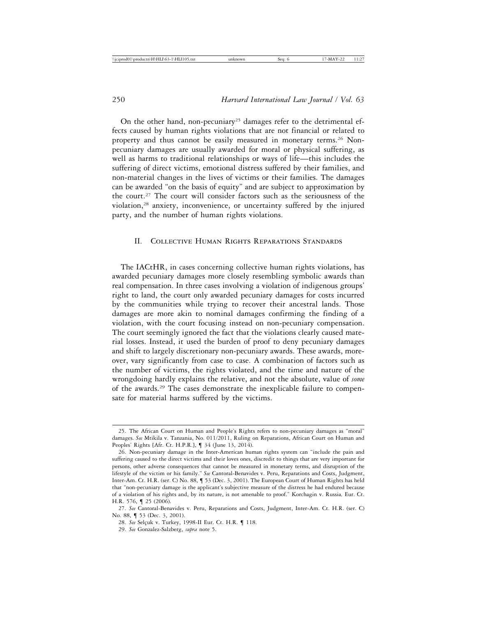On the other hand, non-pecuniary<sup>25</sup> damages refer to the detrimental effects caused by human rights violations that are not financial or related to property and thus cannot be easily measured in monetary terms.26 Nonpecuniary damages are usually awarded for moral or physical suffering, as well as harms to traditional relationships or ways of life—this includes the suffering of direct victims, emotional distress suffered by their families, and non-material changes in the lives of victims or their families. The damages can be awarded "on the basis of equity" and are subject to approximation by the court.27 The court will consider factors such as the seriousness of the violation,28 anxiety, inconvenience, or uncertainty suffered by the injured party, and the number of human rights violations.

# II. Collective Human Rights Reparations Standards

The IACtHR, in cases concerning collective human rights violations, has awarded pecuniary damages more closely resembling symbolic awards than real compensation. In three cases involving a violation of indigenous groups' right to land, the court only awarded pecuniary damages for costs incurred by the communities while trying to recover their ancestral lands. Those damages are more akin to nominal damages confirming the finding of a violation, with the court focusing instead on non-pecuniary compensation. The court seemingly ignored the fact that the violations clearly caused material losses. Instead, it used the burden of proof to deny pecuniary damages and shift to largely discretionary non-pecuniary awards. These awards, moreover, vary significantly from case to case. A combination of factors such as the number of victims, the rights violated, and the time and nature of the wrongdoing hardly explains the relative, and not the absolute, value of *some* of the awards.29 The cases demonstrate the inexplicable failure to compensate for material harms suffered by the victims.

<sup>25.</sup> The African Court on Human and People's Rights refers to non-pecuniary damages as "moral" damages. *See* Mtikila v. Tanzania, No. 011/2011, Ruling on Reparations, African Court on Human and Peoples' Rights [Afr. Ct. H.P.R.], ¶ 34 (June 13, 2014).

<sup>26.</sup> Non-pecuniary damage in the Inter-American human rights system can "include the pain and suffering caused to the direct victims and their loves ones, discredit to things that are very important for persons, other adverse consequences that cannot be measured in monetary terms, and disruption of the lifestyle of the victim or his family." *See* Cantoral-Benavides v. Peru, Reparations and Costs, Judgment, Inter-Am. Ct. H.R. (ser. C) No. 88, ¶ 53 (Dec. 3, 2001). The European Court of Human Rights has held that "non-pecuniary damage is the applicant's subjective measure of the distress he had endured because of a violation of his rights and, by its nature, is not amenable to proof." Korchagin v. Russia*,* Eur. Ct. H.R. 576, ¶ 25 (2006).

<sup>27.</sup> *See* Cantoral-Benavides v. Peru, Reparations and Costs, Judgment, Inter-Am. Ct. H.R. (ser. C) No. 88, ¶ 53 (Dec. 3, 2001).

<sup>28.</sup> See Selçuk v. Turkey, 1998-II Eur. Ct. H.R. **[4118.** 

<sup>29.</sup> *See* Gonzalez-Salzberg, *supra* note 5.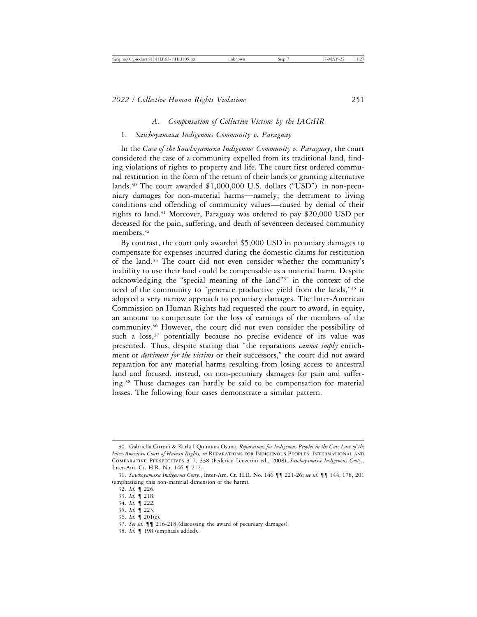## *A. Compensation of Collective Victims by the IACtHR*

## 1. *Sawhoyamaxa Indigenous Community v. Paraguay*

In the *Case of the Sawhoyamaxa Indigenous Community v. Paraguay*, the court considered the case of a community expelled from its traditional land, finding violations of rights to property and life. The court first ordered communal restitution in the form of the return of their lands or granting alternative lands.30 The court awarded \$1,000,000 U.S. dollars ("USD") in non-pecuniary damages for non-material harms—namely, the detriment to living conditions and offending of community values—caused by denial of their rights to land.31 Moreover, Paraguay was ordered to pay \$20,000 USD per deceased for the pain, suffering, and death of seventeen deceased community members.<sup>32</sup>

By contrast, the court only awarded \$5,000 USD in pecuniary damages to compensate for expenses incurred during the domestic claims for restitution of the land.33 The court did not even consider whether the community's inability to use their land could be compensable as a material harm. Despite acknowledging the "special meaning of the land"34 in the context of the need of the community to "generate productive yield from the lands,"35 it adopted a very narrow approach to pecuniary damages. The Inter-American Commission on Human Rights had requested the court to award, in equity, an amount to compensate for the loss of earnings of the members of the community.36 However, the court did not even consider the possibility of such a  $loss,37$  potentially because no precise evidence of its value was presented. Thus, despite stating that "the reparations *cannot imply* enrichment or *detriment for the victims* or their successors," the court did not award reparation for any material harms resulting from losing access to ancestral land and focused, instead, on non-pecuniary damages for pain and suffering.38 Those damages can hardly be said to be compensation for material losses. The following four cases demonstrate a similar pattern.

38. *Id.* ¶ 198 (emphasis added).

<sup>30.</sup> Gabriella Citroni & Karla I Quintana Osuna, *Reparations for Indigenous Peoples in the Case Law of the Inter-American Court of Human Rights, in* REPARATIONS FOR INDIGENOUS PEOPLES: INTERNATIONAL AND Comparative Perspectives 317, 338 (Federico Lenzerini ed., 2008); *Sawhoyamaxa Indigenous Cmty.*, Inter-Am. Ct. H.R. No. 146 ¶ 212.

<sup>31.</sup> *Sawhoyamaxa Indigenous Cmty.*, Inter-Am. Ct. H.R. No. 146 ¶¶ 221-26; *see id.* ¶¶ 144, 178, 201 (emphasizing this non-material dimension of the harm).

<sup>32.</sup> *Id.* ¶ 226.

<sup>33.</sup> *Id.* ¶ 218.

<sup>34.</sup> *Id.* ¶ 222.

<sup>35.</sup> *Id.* ¶ 223.

<sup>36.</sup> *Id.* ¶ 201(c).

<sup>37.</sup> *See id.* ¶¶ 216-218 (discussing the award of pecuniary damages).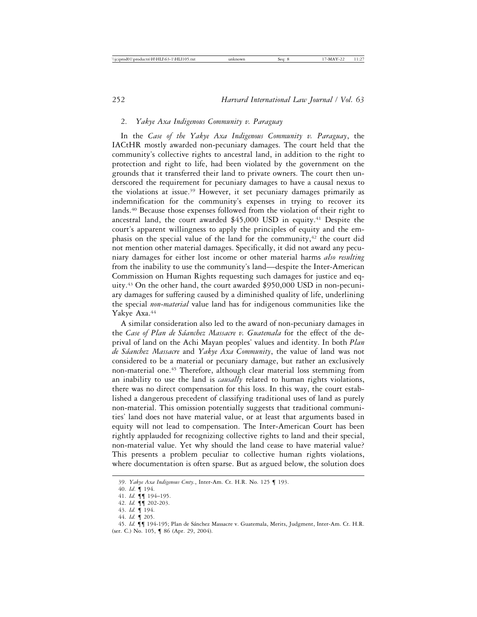# 2. *Yakye Axa Indigenous Community v. Paraguay*

In the *Case of the Yakye Axa Indigenous Community v. Paraguay*, the IACtHR mostly awarded non-pecuniary damages. The court held that the community's collective rights to ancestral land, in addition to the right to protection and right to life, had been violated by the government on the grounds that it transferred their land to private owners. The court then underscored the requirement for pecuniary damages to have a causal nexus to the violations at issue.39 However, it set pecuniary damages primarily as indemnification for the community's expenses in trying to recover its lands.<sup>40</sup> Because those expenses followed from the violation of their right to ancestral land, the court awarded \$45,000 USD in equity.41 Despite the court's apparent willingness to apply the principles of equity and the emphasis on the special value of the land for the community, $42$  the court did not mention other material damages. Specifically, it did not award any pecuniary damages for either lost income or other material harms *also resulting* from the inability to use the community's land—despite the Inter-American Commission on Human Rights requesting such damages for justice and equity.43 On the other hand, the court awarded \$950,000 USD in non-pecuniary damages for suffering caused by a diminished quality of life, underlining the special *non-material* value land has for indigenous communities like the Yakye Axa.<sup>44</sup>

A similar consideration also led to the award of non-pecuniary damages in the *Case of Plan de S´aanchez Massacre v. Guatemala* for the effect of the deprival of land on the Achi Mayan peoples' values and identity. In both *Plan de S´aanchez Massacre* and *Yakye Axa Community*, the value of land was not considered to be a material or pecuniary damage, but rather an exclusively non-material one.45 Therefore, although clear material loss stemming from an inability to use the land is *causally* related to human rights violations, there was no direct compensation for this loss. In this way, the court established a dangerous precedent of classifying traditional uses of land as purely non-material. This omission potentially suggests that traditional communities' land does not have material value, or at least that arguments based in equity will not lead to compensation. The Inter-American Court has been rightly applauded for recognizing collective rights to land and their special, non-material value. Yet why should the land cease to have material value? This presents a problem peculiar to collective human rights violations, where documentation is often sparse. But as argued below, the solution does

<sup>39.</sup> *Yakye Axa Indigenous Cmty.*, Inter-Am. Ct. H.R. No. 125 ¶ 193.

<sup>40.</sup> *Id*. ¶ 194.

<sup>41.</sup> *Id.* ¶¶ 194–195.

<sup>42.</sup> *Id.* ¶¶ 202-203.

<sup>43.</sup> *Id.* ¶ 194.

<sup>44.</sup> *Id.* ¶ 205.

<sup>45.</sup> *Id.*  $\P\P$  194-195; Plan de Sánchez Massacre v. Guatemala, Merits, Judgment, Inter-Am. Ct. H.R. (ser. C.) No. 105, ¶ 86 (Apr. 29, 2004).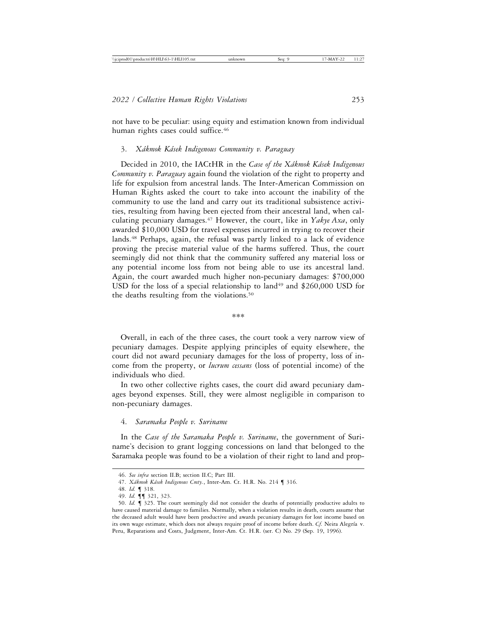not have to be peculiar: using equity and estimation known from individual human rights cases could suffice.<sup>46</sup>

#### 3. *X´akmok K´asek Indigenous Community v. Paraguay*

Decided in 2010, the IACtHR in the *Case of the Xákmok Kásek Indigenous Community v. Paraguay* again found the violation of the right to property and life for expulsion from ancestral lands. The Inter-American Commission on Human Rights asked the court to take into account the inability of the community to use the land and carry out its traditional subsistence activities, resulting from having been ejected from their ancestral land, when calculating pecuniary damages.47 However, the court, like in *Yakye Axa*, only awarded \$10,000 USD for travel expenses incurred in trying to recover their lands.<sup>48</sup> Perhaps, again, the refusal was partly linked to a lack of evidence proving the precise material value of the harms suffered. Thus, the court seemingly did not think that the community suffered any material loss or any potential income loss from not being able to use its ancestral land. Again, the court awarded much higher non-pecuniary damages: \$700,000 USD for the loss of a special relationship to land<sup>49</sup> and  $$260,000$  USD for the deaths resulting from the violations.<sup>50</sup>

\*\*\*

Overall, in each of the three cases, the court took a very narrow view of pecuniary damages. Despite applying principles of equity elsewhere, the court did not award pecuniary damages for the loss of property, loss of income from the property, or *lucrum cessans* (loss of potential income) of the individuals who died.

In two other collective rights cases, the court did award pecuniary damages beyond expenses. Still, they were almost negligible in comparison to non-pecuniary damages.

#### 4. *Saramaka People v. Suriname*

In the *Case of the Saramaka People v. Suriname*, the government of Suriname's decision to grant logging concessions on land that belonged to the Saramaka people was found to be a violation of their right to land and prop-

<sup>46.</sup> *See infra* section II.B; section II.C; Part III.

<sup>47.</sup> *Xákmok Kásek Indigenous Cmty.*, Inter-Am. Ct. H.R. No. 214 | 316.

<sup>48.</sup> *Id.* ¶ 318.

<sup>49.</sup> *Id.* ¶¶ 321, 323.

<sup>50.</sup> *Id.* ¶ 325. The court seemingly did not consider the deaths of potentially productive adults to have caused material damage to families. Normally, when a violation results in death, courts assume that the deceased adult would have been productive and awards pecuniary damages for lost income based on its own wage estimate, which does not always require proof of income before death. Cf. Neira Alegría v. Peru, Reparations and Costs, Judgment, Inter-Am. Ct. H.R. (ser. C) No. 29 (Sep. 19, 1996).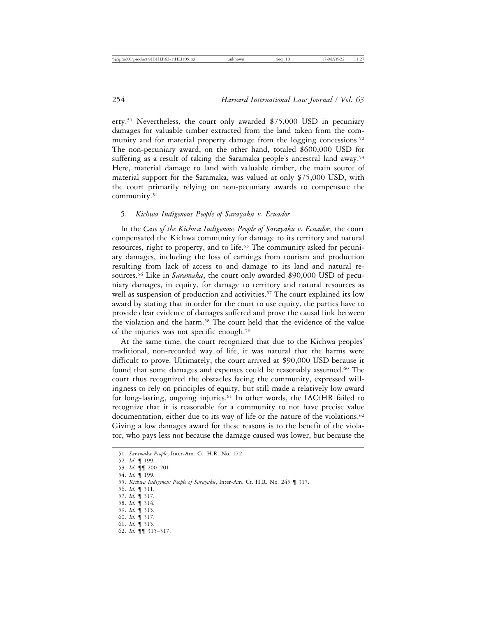erty.51 Nevertheless, the court only awarded \$75,000 USD in pecuniary damages for valuable timber extracted from the land taken from the community and for material property damage from the logging concessions.<sup>52</sup> The non-pecuniary award, on the other hand, totaled \$600,000 USD for suffering as a result of taking the Saramaka people's ancestral land away.<sup>53</sup> Here, material damage to land with valuable timber, the main source of material support for the Saramaka, was valued at only \$75,000 USD, with the court primarily relying on non-pecuniary awards to compensate the community.54

#### 5. *Kichwa Indigenous People of Sarayaku v. Ecuador*

In the *Case of the Kichwa Indigenous People of Sarayaku v. Ecuador*, the court compensated the Kichwa community for damage to its territory and natural resources, right to property, and to life.55 The community asked for pecuniary damages, including the loss of earnings from tourism and production resulting from lack of access to and damage to its land and natural resources.56 Like in *Saramaka*, the court only awarded \$90,000 USD of pecuniary damages, in equity, for damage to territory and natural resources as well as suspension of production and activities.<sup>57</sup> The court explained its low award by stating that in order for the court to use equity, the parties have to provide clear evidence of damages suffered and prove the causal link between the violation and the harm.58 The court held that the evidence of the value of the injuries was not specific enough.59

At the same time, the court recognized that due to the Kichwa peoples' traditional, non-recorded way of life, it was natural that the harms were difficult to prove. Ultimately, the court arrived at \$90,000 USD because it found that some damages and expenses could be reasonably assumed.60 The court thus recognized the obstacles facing the community, expressed willingness to rely on principles of equity, but still made a relatively low award for long-lasting, ongoing injuries.61 In other words, the IACtHR failed to recognize that it is reasonable for a community to not have precise value documentation, either due to its way of life or the nature of the violations.<sup>62</sup> Giving a low damages award for these reasons is to the benefit of the violator, who pays less not because the damage caused was lower, but because the

- 57. *Id.* ¶ 317.
- 58. *Id.* ¶ 314.

- 60. *Id.* ¶ 317.
- 61. *Id.* ¶ 315.
- 62. *Id.* ¶¶ 315–317.

<sup>51.</sup> *Saramaka People*, Inter-Am. Ct. H.R. No. 172.

<sup>52.</sup> *Id.* ¶ 199.

<sup>53.</sup> *Id.* ¶¶ 200–201.

<sup>54.</sup> *Id.* ¶ 199.

<sup>55.</sup> *Kichwa Indigenous People of Sarayaku*, Inter-Am. Ct. H.R. No. 245 ¶ 317.

<sup>56.</sup> *Id.* ¶ 311.

<sup>59.</sup> *Id.* ¶ 315.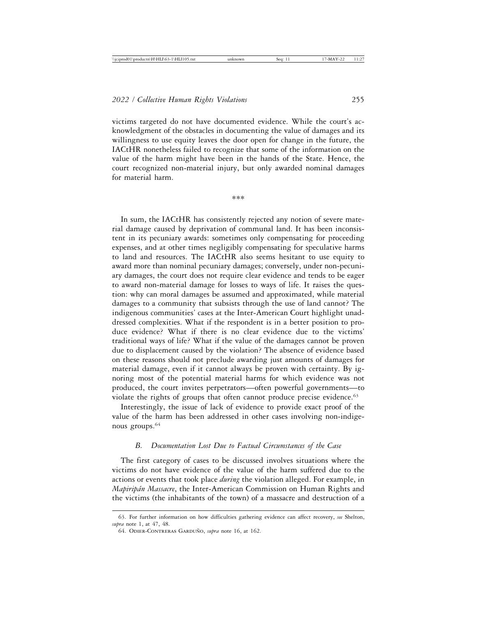victims targeted do not have documented evidence. While the court's acknowledgment of the obstacles in documenting the value of damages and its willingness to use equity leaves the door open for change in the future, the IACtHR nonetheless failed to recognize that some of the information on the value of the harm might have been in the hands of the State. Hence, the court recognized non-material injury, but only awarded nominal damages for material harm.

\*\*\*

In sum, the IACtHR has consistently rejected any notion of severe material damage caused by deprivation of communal land. It has been inconsistent in its pecuniary awards: sometimes only compensating for proceeding expenses, and at other times negligibly compensating for speculative harms to land and resources. The IACtHR also seems hesitant to use equity to award more than nominal pecuniary damages; conversely, under non-pecuniary damages, the court does not require clear evidence and tends to be eager to award non-material damage for losses to ways of life. It raises the question: why can moral damages be assumed and approximated, while material damages to a community that subsists through the use of land cannot? The indigenous communities' cases at the Inter-American Court highlight unaddressed complexities. What if the respondent is in a better position to produce evidence? What if there is no clear evidence due to the victims' traditional ways of life? What if the value of the damages cannot be proven due to displacement caused by the violation? The absence of evidence based on these reasons should not preclude awarding just amounts of damages for material damage, even if it cannot always be proven with certainty. By ignoring most of the potential material harms for which evidence was not produced, the court invites perpetrators—often powerful governments—to violate the rights of groups that often cannot produce precise evidence.<sup>63</sup>

Interestingly, the issue of lack of evidence to provide exact proof of the value of the harm has been addressed in other cases involving non-indigenous groups.64

#### *B. Documentation Lost Due to Factual Circumstances of the Case*

The first category of cases to be discussed involves situations where the victims do not have evidence of the value of the harm suffered due to the actions or events that took place *during* the violation alleged. For example, in *Mapirip´an Massacre*, the Inter-American Commission on Human Rights and the victims (the inhabitants of the town) of a massacre and destruction of a

<sup>63.</sup> For further information on how difficulties gathering evidence can affect recovery, *see* Shelton, *supra* note 1, at 47, 48.

<sup>64.</sup> ODIER-CONTRERAS GARDUÑO, *supra* note 16, at 162.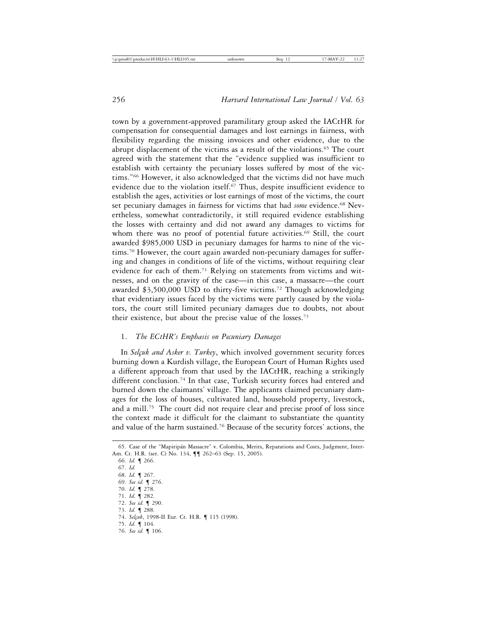town by a government-approved paramilitary group asked the IACtHR for compensation for consequential damages and lost earnings in fairness, with flexibility regarding the missing invoices and other evidence, due to the abrupt displacement of the victims as a result of the violations.<sup>65</sup> The court agreed with the statement that the "evidence supplied was insufficient to establish with certainty the pecuniary losses suffered by most of the victims."66 However, it also acknowledged that the victims did not have much evidence due to the violation itself.<sup>67</sup> Thus, despite insufficient evidence to establish the ages, activities or lost earnings of most of the victims, the court set pecuniary damages in fairness for victims that had *some* evidence.68 Nevertheless, somewhat contradictorily, it still required evidence establishing the losses with certainty and did not award any damages to victims for whom there was no proof of potential future activities.<sup>69</sup> Still, the court awarded \$985,000 USD in pecuniary damages for harms to nine of the victims.70 However, the court again awarded non-pecuniary damages for suffering and changes in conditions of life of the victims, without requiring clear evidence for each of them.<sup>71</sup> Relying on statements from victims and witnesses, and on the gravity of the case—in this case, a massacre—the court awarded \$3,500,000 USD to thirty-five victims.72 Though acknowledging that evidentiary issues faced by the victims were partly caused by the violators, the court still limited pecuniary damages due to doubts, not about their existence, but about the precise value of the losses.73

## 1. *The ECtHR's Emphasis on Pecuniary Damages*

In *Selçuk and Asker v. Turkey*, which involved government security forces burning down a Kurdish village, the European Court of Human Rights used a different approach from that used by the IACtHR, reaching a strikingly different conclusion.74 In that case, Turkish security forces had entered and burned down the claimants' village. The applicants claimed pecuniary damages for the loss of houses, cultivated land, household property, livestock, and a mill.75 The court did not require clear and precise proof of loss since the context made it difficult for the claimant to substantiate the quantity and value of the harm sustained.76 Because of the security forces' actions, the

66. *Id.* ¶ 266.

67. *Id.*

- 68. *Id.* ¶ 267. 69. *See id.* ¶ 276.
- 70. *Id.* ¶ 278.
- 71. *Id.* ¶ 282.
- 72. *See id.* ¶ 290.
- 73. *Id.* ¶ 288.
- 74. *Selçuk*, 1998-II Eur. Ct. H.R. ¶ 115 (1998).
- 75. *Id.* ¶ 104.
- 76. *See id.* ¶ 106.

<sup>65.</sup> Case of the "Mapiripán Massacre" v. Colombia, Merits, Reparations and Costs, Judgment, Inter-Am. Ct. H.R. (ser. C) No. 134, ¶¶ 262–63 (Sep. 15, 2005).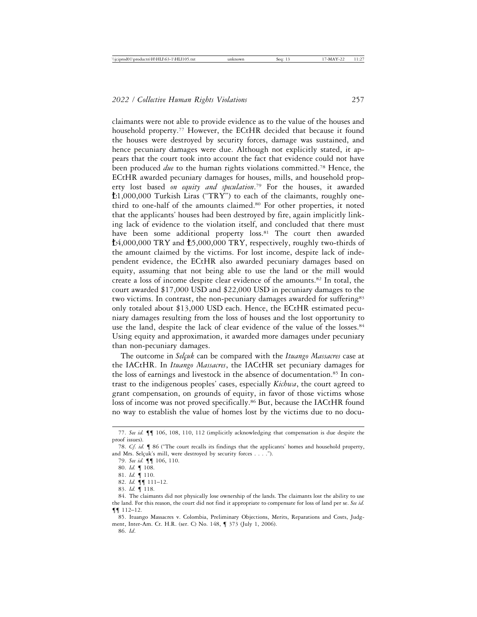claimants were not able to provide evidence as to the value of the houses and household property.<sup>77</sup> However, the ECtHR decided that because it found the houses were destroyed by security forces, damage was sustained, and hence pecuniary damages were due. Although not explicitly stated, it appears that the court took into account the fact that evidence could not have been produced *due* to the human rights violations committed.78 Hence, the ECtHR awarded pecuniary damages for houses, mills, and household property lost based *on equity and speculation*. 79 For the houses, it awarded 1,000,000 Turkish Liras ("TRY") to each of the claimants, roughly onethird to one-half of the amounts claimed.80 For other properties, it noted that the applicants' houses had been destroyed by fire, again implicitly linking lack of evidence to the violation itself, and concluded that there must have been some additional property loss.<sup>81</sup> The court then awarded  $\text{\AA}$ ,000,000 TRY and  $\text{\AA}$ 5,000,000 TRY, respectively, roughly two-thirds of the amount claimed by the victims. For lost income, despite lack of independent evidence, the ECtHR also awarded pecuniary damages based on equity, assuming that not being able to use the land or the mill would create a loss of income despite clear evidence of the amounts.82 In total, the court awarded \$17,000 USD and \$22,000 USD in pecuniary damages to the two victims. In contrast, the non-pecuniary damages awarded for suffering<sup>83</sup> only totaled about \$13,000 USD each. Hence, the ECtHR estimated pecuniary damages resulting from the loss of houses and the lost opportunity to use the land, despite the lack of clear evidence of the value of the losses.<sup>84</sup> Using equity and approximation, it awarded more damages under pecuniary

than non-pecuniary damages.

The outcome in *Selçuk* can be compared with the *Ituango Massacres* case at the IACtHR. In *Ituango Massacres*, the IACtHR set pecuniary damages for the loss of earnings and livestock in the absence of documentation.85 In contrast to the indigenous peoples' cases, especially *Kichwa*, the court agreed to grant compensation, on grounds of equity, in favor of those victims whose loss of income was not proved specifically.<sup>86</sup> But, because the IACtHR found no way to establish the value of homes lost by the victims due to no docu-

<sup>77.</sup> *See id.* ¶¶ 106, 108, 110, 112 (implicitly acknowledging that compensation is due despite the proof issues).

<sup>78.</sup> *Cf. id.* ¶ 86 ("The court recalls its findings that the applicants' homes and household property, and Mrs. Selçuk's mill, were destroyed by security forces . . . .").

<sup>79.</sup> *See id.* ¶¶ 106, 110.

<sup>80.</sup> *Id.* ¶ 108.

<sup>81.</sup> *Id.* ¶ 110.

<sup>82.</sup> *Id.* ¶¶ 111–12.

<sup>83.</sup> *Id.* ¶ 118.

<sup>84.</sup> The claimants did not physically lose ownership of the lands. The claimants lost the ability to use the land. For this reason, the court did not find it appropriate to compensate for loss of land per se. *See id.* ¶¶ 112–12.

<sup>85.</sup> Ituango Massacres v. Colombia, Preliminary Objections, Merits, Reparations and Costs, Judgment, Inter-Am. Ct. H.R. (ser. C) No. 148, ¶ 373 (July 1, 2006).

<sup>86.</sup> *Id*.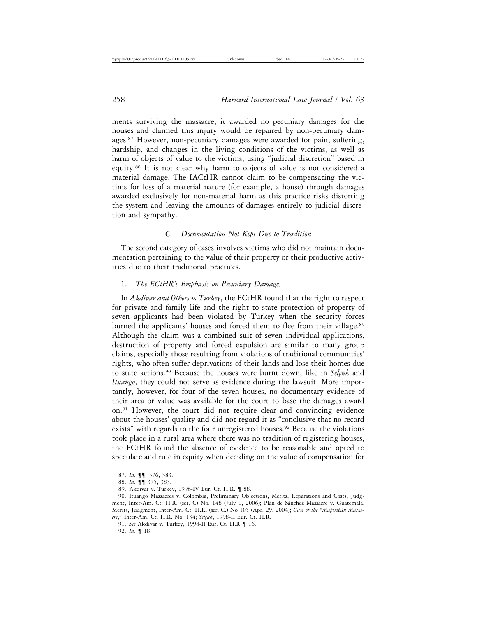ments surviving the massacre, it awarded no pecuniary damages for the houses and claimed this injury would be repaired by non-pecuniary damages.87 However, non-pecuniary damages were awarded for pain, suffering, hardship, and changes in the living conditions of the victims, as well as harm of objects of value to the victims, using "judicial discretion" based in equity.88 It is not clear why harm to objects of value is not considered a material damage. The IACtHR cannot claim to be compensating the victims for loss of a material nature (for example, a house) through damages awarded exclusively for non-material harm as this practice risks distorting the system and leaving the amounts of damages entirely to judicial discretion and sympathy.

## *C. Documentation Not Kept Due to Tradition*

The second category of cases involves victims who did not maintain documentation pertaining to the value of their property or their productive activities due to their traditional practices.

# 1. *The ECtHR's Emphasis on Pecuniary Damages*

In *Akdivar and Others v. Turkey*, the ECtHR found that the right to respect for private and family life and the right to state protection of property of seven applicants had been violated by Turkey when the security forces burned the applicants' houses and forced them to flee from their village.89 Although the claim was a combined suit of seven individual applications, destruction of property and forced expulsion are similar to many group claims, especially those resulting from violations of traditional communities' rights, who often suffer deprivations of their lands and lose their homes due to state actions.<sup>90</sup> Because the houses were burnt down, like in *Selçuk* and *Ituango*, they could not serve as evidence during the lawsuit. More importantly, however, for four of the seven houses, no documentary evidence of their area or value was available for the court to base the damages award on.91 However, the court did not require clear and convincing evidence about the houses' quality and did not regard it as "conclusive that no record exists" with regards to the four unregistered houses.<sup>92</sup> Because the violations took place in a rural area where there was no tradition of registering houses, the ECtHR found the absence of evidence to be reasonable and opted to speculate and rule in equity when deciding on the value of compensation for

92. *Id.* ¶ 18.

<sup>87.</sup> *Id*. ¶¶ 376, 383.

<sup>88.</sup> *Id*. ¶¶ 375, 383.

<sup>89.</sup> Akdivar v. Turkey, 1996-IV Eur. Ct. H.R. ¶ 88.

<sup>90.</sup> Ituango Massacres v. Colombia, Preliminary Objections, Merits, Reparations and Costs, Judgment, Inter-Am. Ct. H.R. (ser. C) No. 148 (July 1, 2006); Plan de Sánchez Massacre v. Guatemala, Merits, Judgment, Inter-Am. Ct. H.R. (ser. C.) No 105 (Apr. 29, 2004); *Case of the "Mapirip´an Massacre*,*"* Inter-Am. Ct. H.R. No. 134; *Sel¸cuk*, 1998-II Eur. Ct. H.R.

<sup>91.</sup> *See* Akdivar v. Turkey, 1998-II Eur. Ct. H.R ¶ 16.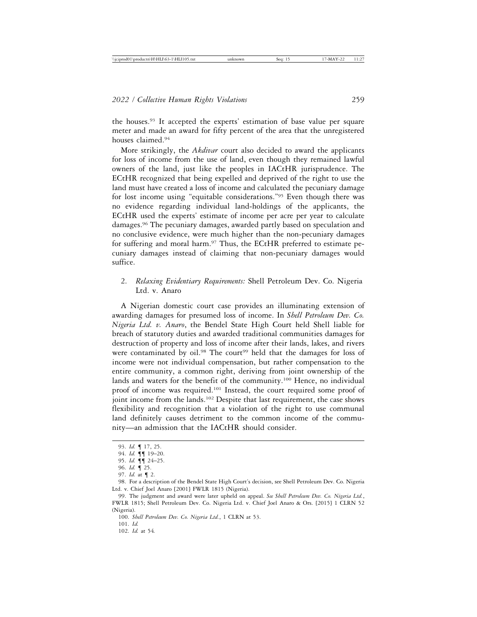the houses.93 It accepted the experts' estimation of base value per square meter and made an award for fifty percent of the area that the unregistered houses claimed.94

More strikingly, the *Akdivar* court also decided to award the applicants for loss of income from the use of land, even though they remained lawful owners of the land, just like the peoples in IACtHR jurisprudence. The ECtHR recognized that being expelled and deprived of the right to use the land must have created a loss of income and calculated the pecuniary damage for lost income using "equitable considerations."95 Even though there was no evidence regarding individual land-holdings of the applicants, the ECtHR used the experts' estimate of income per acre per year to calculate damages.96 The pecuniary damages, awarded partly based on speculation and no conclusive evidence, were much higher than the non-pecuniary damages for suffering and moral harm.<sup>97</sup> Thus, the ECtHR preferred to estimate pecuniary damages instead of claiming that non-pecuniary damages would suffice.

# 2. *Relaxing Evidentiary Requirements:* Shell Petroleum Dev. Co. Nigeria Ltd. v. Anaro

A Nigerian domestic court case provides an illuminating extension of awarding damages for presumed loss of income. In *Shell Petroleum Dev. Co. Nigeria Ltd. v. Anaro*, the Bendel State High Court held Shell liable for breach of statutory duties and awarded traditional communities damages for destruction of property and loss of income after their lands, lakes, and rivers were contaminated by oil.<sup>98</sup> The court<sup>99</sup> held that the damages for loss of income were not individual compensation, but rather compensation to the entire community, a common right, deriving from joint ownership of the lands and waters for the benefit of the community.<sup>100</sup> Hence, no individual proof of income was required.101 Instead, the court required some proof of joint income from the lands.102 Despite that last requirement, the case shows flexibility and recognition that a violation of the right to use communal land definitely causes detriment to the common income of the community—an admission that the IACtHR should consider.

<sup>93.</sup> *Id.* ¶ 17, 25.

<sup>94.</sup> *Id.* ¶¶ 19–20.

<sup>95.</sup> *Id.* ¶¶ 24–25.

<sup>96.</sup> *Id.* ¶ 25.

<sup>97.</sup> *Id.* at ¶ 2.

<sup>98.</sup> For a description of the Bendel State High Court's decision, see Shell Petroleum Dev. Co. Nigeria Ltd. v. Chief Joel Anaro [2001] FWLR 1815 (Nigeria).

<sup>99.</sup> The judgment and award were later upheld on appeal. *See Shell Petroleum Dev. Co. Nigeria Ltd.*, FWLR 1815; Shell Petroleum Dev. Co. Nigeria Ltd. v. Chief Joel Anaro & Ors. [2015] 1 CLRN 52 (Nigeria).

<sup>100.</sup> *Shell Petroleum Dev. Co. Nigeria Ltd.*, 1 CLRN at 53.

<sup>101.</sup> *Id.*

<sup>102.</sup> *Id.* at 54*.*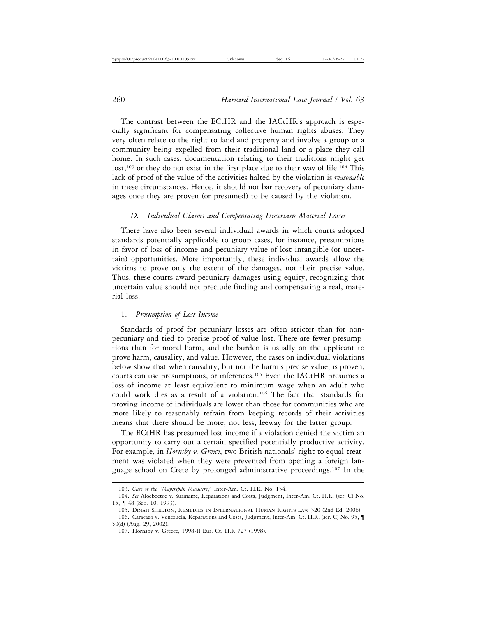The contrast between the ECtHR and the IACtHR's approach is especially significant for compensating collective human rights abuses. They very often relate to the right to land and property and involve a group or a community being expelled from their traditional land or a place they call home. In such cases, documentation relating to their traditions might get lost,<sup>103</sup> or they do not exist in the first place due to their way of life.<sup>104</sup> This lack of proof of the value of the activities halted by the violation is *reasonable* in these circumstances. Hence, it should not bar recovery of pecuniary damages once they are proven (or presumed) to be caused by the violation.

## *D. Individual Claims and Compensating Uncertain Material Losses*

There have also been several individual awards in which courts adopted standards potentially applicable to group cases, for instance, presumptions in favor of loss of income and pecuniary value of lost intangible (or uncertain) opportunities. More importantly, these individual awards allow the victims to prove only the extent of the damages, not their precise value. Thus, these courts award pecuniary damages using equity, recognizing that uncertain value should not preclude finding and compensating a real, material loss.

#### 1. *Presumption of Lost Income*

Standards of proof for pecuniary losses are often stricter than for nonpecuniary and tied to precise proof of value lost. There are fewer presumptions than for moral harm, and the burden is usually on the applicant to prove harm, causality, and value. However, the cases on individual violations below show that when causality, but not the harm's precise value, is proven, courts can use presumptions, or inferences.<sup>105</sup> Even the IACtHR presumes a loss of income at least equivalent to minimum wage when an adult who could work dies as a result of a violation.106 The fact that standards for proving income of individuals are lower than those for communities who are more likely to reasonably refrain from keeping records of their activities means that there should be more, not less, leeway for the latter group.

The ECtHR has presumed lost income if a violation denied the victim an opportunity to carry out a certain specified potentially productive activity. For example, in *Hornsby v. Greece*, two British nationals' right to equal treatment was violated when they were prevented from opening a foreign language school on Crete by prolonged administrative proceedings.107 In the

<sup>103.</sup> *Case of the "Mapirip´an Massacre*,*"* Inter-Am. Ct. H.R. No. 134.

<sup>104.</sup> *See* Aloeboetoe v. Suriname, Reparations and Costs, Judgment, Inter-Am. Ct. H.R. (ser. C) No. 15, ¶ 48 (Sep. 10, 1993).

<sup>105.</sup> Dinah Shelton, Remedies in International Human Rights Law 320 (2nd Ed. 2006).

<sup>106.</sup> Caracazo v. Venezuela*,* Reparations and Costs, Judgment, Inter-Am. Ct. H.R. (ser. C) No. 95, ¶ 50(d) (Aug. 29, 2002).

<sup>107.</sup> Hornsby v. Greece, 1998-II Eur. Ct. H.R 727 (1998).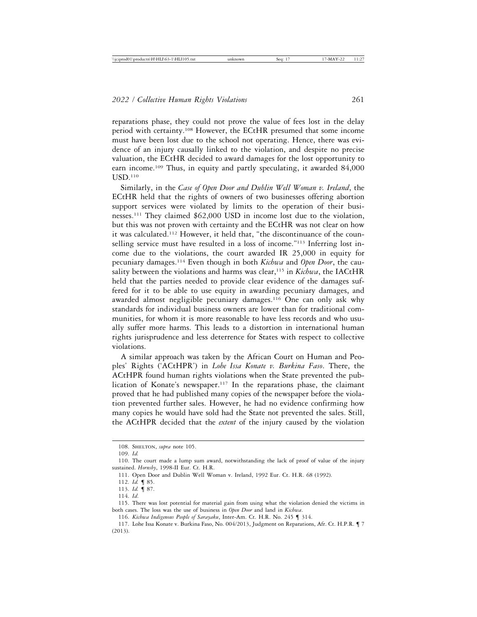reparations phase, they could not prove the value of fees lost in the delay period with certainty.108 However, the ECtHR presumed that some income must have been lost due to the school not operating. Hence, there was evidence of an injury causally linked to the violation, and despite no precise valuation, the ECtHR decided to award damages for the lost opportunity to earn income.109 Thus, in equity and partly speculating, it awarded 84,000 USD.110

Similarly, in the *Case of Open Door and Dublin Well Woman v. Ireland*, the ECtHR held that the rights of owners of two businesses offering abortion support services were violated by limits to the operation of their businesses.111 They claimed \$62,000 USD in income lost due to the violation, but this was not proven with certainty and the ECtHR was not clear on how it was calculated.112 However, it held that, "the discontinuance of the counselling service must have resulted in a loss of income."113 Inferring lost income due to the violations, the court awarded IR 25,000 in equity for pecuniary damages.114 Even though in both *Kichwa* and *Open Door*, the causality between the violations and harms was clear,115 in *Kichwa*, the IACtHR held that the parties needed to provide clear evidence of the damages suffered for it to be able to use equity in awarding pecuniary damages, and awarded almost negligible pecuniary damages.<sup>116</sup> One can only ask why standards for individual business owners are lower than for traditional communities, for whom it is more reasonable to have less records and who usually suffer more harms. This leads to a distortion in international human rights jurisprudence and less deterrence for States with respect to collective violations.

A similar approach was taken by the African Court on Human and Peoples' Rights ('ACtHPR') in *Lohe Issa Konate v. Burkina Faso*. There, the ACtHPR found human rights violations when the State prevented the publication of Konate's newspaper.117 In the reparations phase, the claimant proved that he had published many copies of the newspaper before the violation prevented further sales. However, he had no evidence confirming how many copies he would have sold had the State not prevented the sales. Still, the ACtHPR decided that the *extent* of the injury caused by the violation

111. Open Door and Dublin Well Woman v. Ireland, 1992 Eur. Ct. H.R. 68 (1992).

113. *Id.* ¶ 87.

<sup>108.</sup> SHELTON, *supra* note 105.

<sup>109.</sup> *Id.*

<sup>110.</sup> The court made a lump sum award, notwithstanding the lack of proof of value of the injury sustained. *Hornsby*, 1998-II Eur. Ct. H.R.

<sup>112.</sup> *Id.* ¶ 85.

<sup>114.</sup> *Id*.

<sup>115.</sup> There was lost potential for material gain from using what the violation denied the victims in both cases. The loss was the use of business in *Open Door* and land in *Kichwa*.

<sup>116.</sup> *Kichwa Indigenous People of Sarayaku*, Inter-Am. Ct. H.R. No. 245 ¶ 314.

<sup>117.</sup> Lohe Issa Konate v. Burkina Faso, No. 004/2013, Judgment on Reparations, Afr. Ct. H.P.R. ¶ 7 (2013).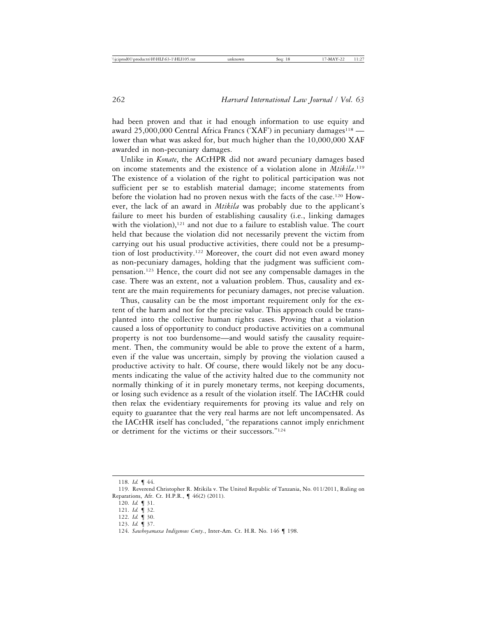had been proven and that it had enough information to use equity and award 25,000,000 Central Africa Francs ('XAF') in pecuniary damages<sup>118</sup> lower than what was asked for, but much higher than the 10,000,000 XAF awarded in non-pecuniary damages.

Unlike in *Konate*, the ACtHPR did not award pecuniary damages based on income statements and the existence of a violation alone in *Mtikila*.<sup>119</sup> The existence of a violation of the right to political participation was not sufficient per se to establish material damage; income statements from before the violation had no proven nexus with the facts of the case.120 However, the lack of an award in *Mtikila* was probably due to the applicant's failure to meet his burden of establishing causality (i.e., linking damages with the violation), $121$  and not due to a failure to establish value. The court held that because the violation did not necessarily prevent the victim from carrying out his usual productive activities, there could not be a presumption of lost productivity.122 Moreover, the court did not even award money as non-pecuniary damages, holding that the judgment was sufficient compensation.123 Hence, the court did not see any compensable damages in the case. There was an extent, not a valuation problem. Thus, causality and extent are the main requirements for pecuniary damages, not precise valuation.

Thus, causality can be the most important requirement only for the extent of the harm and not for the precise value. This approach could be transplanted into the collective human rights cases. Proving that a violation caused a loss of opportunity to conduct productive activities on a communal property is not too burdensome—and would satisfy the causality requirement. Then, the community would be able to prove the extent of a harm, even if the value was uncertain, simply by proving the violation caused a productive activity to halt. Of course, there would likely not be any documents indicating the value of the activity halted due to the community not normally thinking of it in purely monetary terms, not keeping documents, or losing such evidence as a result of the violation itself. The IACtHR could then relax the evidentiary requirements for proving its value and rely on equity to guarantee that the very real harms are not left uncompensated. As the IACtHR itself has concluded, "the reparations cannot imply enrichment or detriment for the victims or their successors."124

<sup>118.</sup> *Id.* ¶ 44.

<sup>119.</sup> Reverend Christopher R. Mtikila v. The United Republic of Tanzania, No. 011/2011, Ruling on Reparations, Afr. Ct. H.P.R., ¶ 46(2) (2011).

<sup>120.</sup> *Id.* ¶ 31.

<sup>121.</sup> *Id.* ¶ 32.

<sup>122.</sup> *Id.* ¶ 30.

<sup>123.</sup> *Id.* ¶ 37.

<sup>124.</sup> *Sawhoyamaxa Indigenous Cmty.*, Inter-Am. Ct. H.R. No. 146 ¶ 198.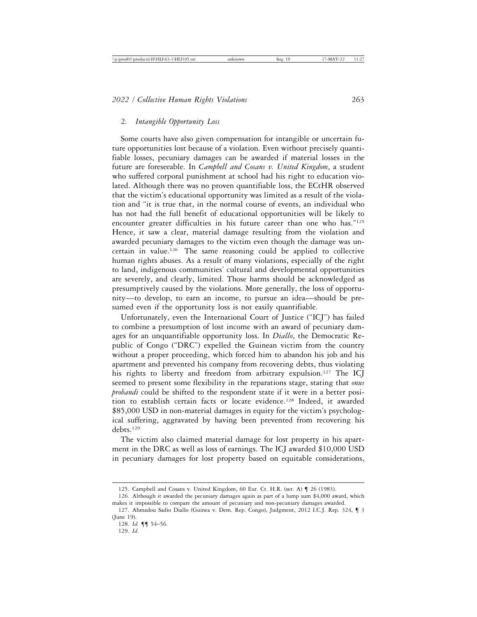#### 2. *Intangible Opportunity Loss*

Some courts have also given compensation for intangible or uncertain future opportunities lost because of a violation. Even without precisely quantifiable losses, pecuniary damages can be awarded if material losses in the future are foreseeable. In *Campbell and Cosans v. United Kingdom*, a student who suffered corporal punishment at school had his right to education violated. Although there was no proven quantifiable loss, the ECtHR observed that the victim's educational opportunity was limited as a result of the violation and "it is true that, in the normal course of events, an individual who has not had the full benefit of educational opportunities will be likely to encounter greater difficulties in his future career than one who has."125 Hence, it saw a clear, material damage resulting from the violation and awarded pecuniary damages to the victim even though the damage was uncertain in value.126 The same reasoning could be applied to collective human rights abuses. As a result of many violations, especially of the right to land, indigenous communities' cultural and developmental opportunities are severely, and clearly, limited. Those harms should be acknowledged as presumptively caused by the violations. More generally, the loss of opportunity—to develop, to earn an income, to pursue an idea—should be presumed even if the opportunity loss is not easily quantifiable.

Unfortunately, even the International Court of Justice ("ICJ") has failed to combine a presumption of lost income with an award of pecuniary damages for an unquantifiable opportunity loss. In *Diallo*, the Democratic Republic of Congo ("DRC") expelled the Guinean victim from the country without a proper proceeding, which forced him to abandon his job and his apartment and prevented his company from recovering debts, thus violating his rights to liberty and freedom from arbitrary expulsion.<sup>127</sup> The ICJ seemed to present some flexibility in the reparations stage, stating that *onus probandi* could be shifted to the respondent state if it were in a better position to establish certain facts or locate evidence.128 Indeed, it awarded \$85,000 USD in non-material damages in equity for the victim's psychological suffering, aggravated by having been prevented from recovering his debts<sup>129</sup>

The victim also claimed material damage for lost property in his apartment in the DRC as well as loss of earnings. The ICJ awarded \$10,000 USD in pecuniary damages for lost property based on equitable considerations,

<sup>125.</sup> Campbell and Cosans v. United Kingdom, 60 Eur. Ct. H.R. (ser. A) ¶ 26 (1983).

<sup>126.</sup> Although it awarded the pecuniary damages again as part of a lump sum \$4,000 award, which makes it impossible to compare the amount of pecuniary and non-pecuniary damages awarded.

<sup>127.</sup> Ahmadou Sadio Diallo (Guinea v. Dem. Rep. Congo), Judgment, 2012 I.C.J. Rep. 324, ¶ 3 (June 19).

<sup>128.</sup> *Id.* ¶¶ 54–56.

<sup>129.</sup> *Id*.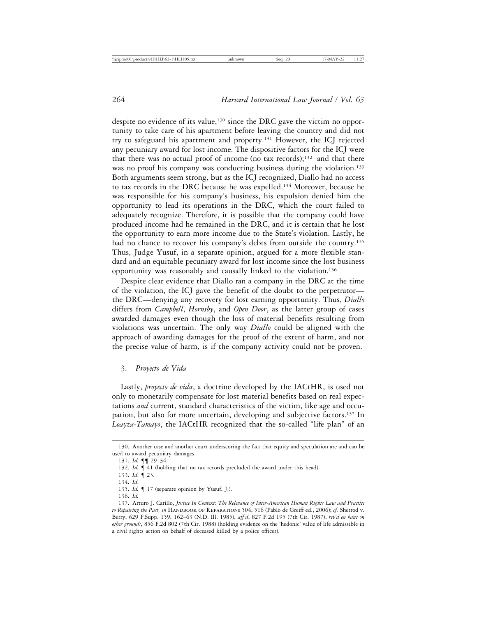despite no evidence of its value,<sup>130</sup> since the DRC gave the victim no opportunity to take care of his apartment before leaving the country and did not try to safeguard his apartment and property.131 However, the ICJ rejected any pecuniary award for lost income. The dispositive factors for the ICJ were that there was no actual proof of income (no tax records);<sup>132</sup> and that there was no proof his company was conducting business during the violation.<sup>133</sup> Both arguments seem strong, but as the ICJ recognized, Diallo had no access to tax records in the DRC because he was expelled.134 Moreover, because he was responsible for his company's business, his expulsion denied him the opportunity to lead its operations in the DRC, which the court failed to adequately recognize. Therefore, it is possible that the company could have produced income had he remained in the DRC, and it is certain that he lost the opportunity to earn more income due to the State's violation. Lastly, he had no chance to recover his company's debts from outside the country.<sup>135</sup> Thus, Judge Yusuf, in a separate opinion, argued for a more flexible standard and an equitable pecuniary award for lost income since the lost business opportunity was reasonably and causally linked to the violation.136

Despite clear evidence that Diallo ran a company in the DRC at the time of the violation, the ICJ gave the benefit of the doubt to the perpetrator the DRC—denying any recovery for lost earning opportunity. Thus, *Diallo* differs from *Campbell*, *Hornsby*, and *Open Door*, as the latter group of cases awarded damages even though the loss of material benefits resulting from violations was uncertain. The only way *Diallo* could be aligned with the approach of awarding damages for the proof of the extent of harm, and not the precise value of harm, is if the company activity could not be proven.

## 3. *Proyecto de Vida*

Lastly, *proyecto de vida*, a doctrine developed by the IACtHR, is used not only to monetarily compensate for lost material benefits based on real expectations *and* current, standard characteristics of the victim, like age and occupation, but also for more uncertain, developing and subjective factors.137 In *Loayza-Tamayo*, the IACtHR recognized that the so-called "life plan" of an

<sup>130.</sup> Another case and another court underscoring the fact that equity and speculation are and can be used to award pecuniary damages.

<sup>131.</sup> *Id.* ¶¶ 29–34.

<sup>132.</sup> *Id.*  $\blacksquare$  41 (holding that no tax records precluded the award under this head).

<sup>133.</sup> *Id*. ¶ 23.

<sup>134.</sup> *Id*.

<sup>135.</sup> *Id.* ¶ 17 (separate opinion by Yusuf, J.).

<sup>136.</sup> *Id.*

<sup>137.</sup> Arturo J. Carillo, *Justice In Context: The Relevance of Inter-American Human Rights Law and Practice* to Repairing the Past, in HANDBOOK OF REPARATIONS 504, 516 (Pablo de Greiff ed., 2006); *cf.* Sherrod v. Berry, 629 F.Supp. 159, 162–63 (N.D. Ill. 1985), *aff'd*, 827 F.2d 195 (7th Cir. 1987), *rev'd en banc on other grounds*, 856 F.2d 802 (7th Cir. 1988) (holding evidence on the 'hedonic' value of life admissible in a civil rights action on behalf of deceased killed by a police officer).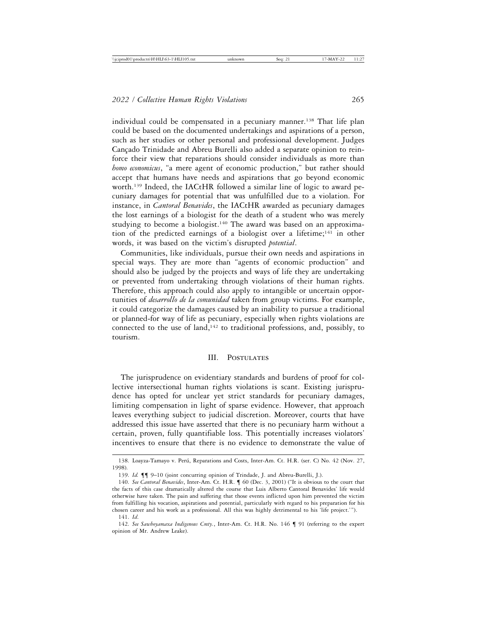individual could be compensated in a pecuniary manner.<sup>138</sup> That life plan could be based on the documented undertakings and aspirations of a person, such as her studies or other personal and professional development. Judges Cançado Trinidade and Abreu Burelli also added a separate opinion to reinforce their view that reparations should consider individuals as more than *homo economicus*, "a mere agent of economic production," but rather should accept that humans have needs and aspirations that go beyond economic worth.<sup>139</sup> Indeed, the IACtHR followed a similar line of logic to award pecuniary damages for potential that was unfulfilled due to a violation. For instance, in *Cantoral Benavides*, the IACtHR awarded as pecuniary damages the lost earnings of a biologist for the death of a student who was merely studying to become a biologist.<sup>140</sup> The award was based on an approximation of the predicted earnings of a biologist over a lifetime;<sup>141</sup> in other words, it was based on the victim's disrupted *potential*.

Communities, like individuals, pursue their own needs and aspirations in special ways. They are more than "agents of economic production" and should also be judged by the projects and ways of life they are undertaking or prevented from undertaking through violations of their human rights. Therefore, this approach could also apply to intangible or uncertain opportunities of *desarrollo de la comunidad* taken from group victims. For example, it could categorize the damages caused by an inability to pursue a traditional or planned-for way of life as pecuniary, especially when rights violations are connected to the use of land,<sup>142</sup> to traditional professions, and, possibly, to tourism.

#### III. Postulates

The jurisprudence on evidentiary standards and burdens of proof for collective intersectional human rights violations is scant. Existing jurisprudence has opted for unclear yet strict standards for pecuniary damages, limiting compensation in light of sparse evidence. However, that approach leaves everything subject to judicial discretion. Moreover, courts that have addressed this issue have asserted that there is no pecuniary harm without a certain, proven, fully quantifiable loss. This potentially increases violators' incentives to ensure that there is no evidence to demonstrate the value of

<sup>138.</sup> Loayza-Tamayo v. Perú, Reparations and Costs, Inter-Am. Ct. H.R. (ser. C) No. 42 (Nov. 27, 1998).

<sup>139.</sup> *Id.* ¶¶ 9–10 (joint concurring opinion of Trindade, J. and Abreu-Burelli, J.).

<sup>140.</sup> *See Cantoral Benavides*, Inter-Am. Ct. H.R. ¶ 60 (Dec. 3, 2001) ("It is obvious to the court that the facts of this case dramatically altered the course that Luis Alberto Cantoral Benavides' life would otherwise have taken. The pain and suffering that those events inflicted upon him prevented the victim from fulfilling his vocation, aspirations and potential, particularly with regard to his preparation for his chosen career and his work as a professional. All this was highly detrimental to his 'life project.'").

<sup>141.</sup> *Id*.

<sup>142.</sup> *See Sawhoyamaxa Indigenous Cmty.*, Inter-Am. Ct. H.R. No. 146 ¶ 91 (referring to the expert opinion of Mr. Andrew Leake).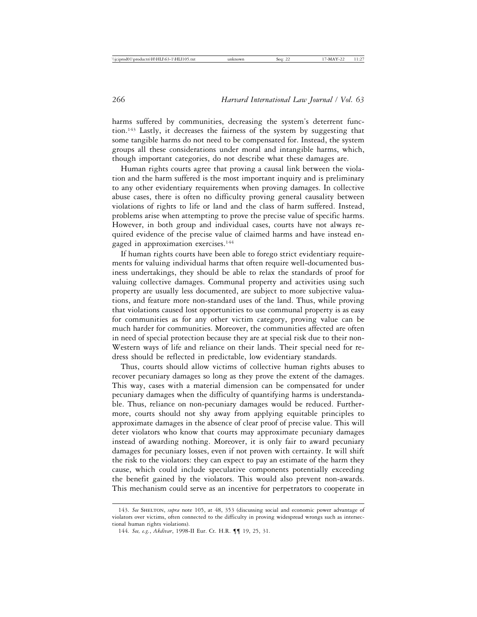harms suffered by communities, decreasing the system's deterrent function.143 Lastly, it decreases the fairness of the system by suggesting that some tangible harms do not need to be compensated for. Instead, the system groups all these considerations under moral and intangible harms, which, though important categories, do not describe what these damages are.

Human rights courts agree that proving a causal link between the violation and the harm suffered is the most important inquiry and is preliminary to any other evidentiary requirements when proving damages. In collective abuse cases, there is often no difficulty proving general causality between violations of rights to life or land and the class of harm suffered. Instead, problems arise when attempting to prove the precise value of specific harms. However, in both group and individual cases, courts have not always required evidence of the precise value of claimed harms and have instead engaged in approximation exercises.144

If human rights courts have been able to forego strict evidentiary requirements for valuing individual harms that often require well-documented business undertakings, they should be able to relax the standards of proof for valuing collective damages. Communal property and activities using such property are usually less documented, are subject to more subjective valuations, and feature more non-standard uses of the land. Thus, while proving that violations caused lost opportunities to use communal property is as easy for communities as for any other victim category, proving value can be much harder for communities. Moreover, the communities affected are often in need of special protection because they are at special risk due to their non-Western ways of life and reliance on their lands. Their special need for redress should be reflected in predictable, low evidentiary standards.

Thus, courts should allow victims of collective human rights abuses to recover pecuniary damages so long as they prove the extent of the damages. This way, cases with a material dimension can be compensated for under pecuniary damages when the difficulty of quantifying harms is understandable. Thus, reliance on non-pecuniary damages would be reduced. Furthermore, courts should not shy away from applying equitable principles to approximate damages in the absence of clear proof of precise value. This will deter violators who know that courts may approximate pecuniary damages instead of awarding nothing. Moreover, it is only fair to award pecuniary damages for pecuniary losses, even if not proven with certainty. It will shift the risk to the violators: they can expect to pay an estimate of the harm they cause, which could include speculative components potentially exceeding the benefit gained by the violators. This would also prevent non-awards. This mechanism could serve as an incentive for perpetrators to cooperate in

<sup>143.</sup> See SHELTON, *supra* note 105, at 48, 353 (discussing social and economic power advantage of violators over victims, often connected to the difficulty in proving widespread wrongs such as intersectional human rights violations).

<sup>144.</sup> *See, e.g.*, *Akdivar*, 1998-II Eur. Ct. H.R. ¶¶ 19, 25, 31.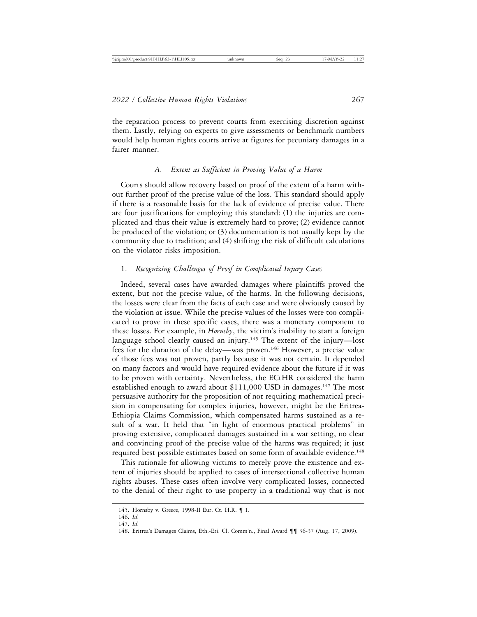the reparation process to prevent courts from exercising discretion against them. Lastly, relying on experts to give assessments or benchmark numbers would help human rights courts arrive at figures for pecuniary damages in a fairer manner.

## *A. Extent as Sufficient in Proving Value of a Harm*

Courts should allow recovery based on proof of the extent of a harm without further proof of the precise value of the loss. This standard should apply if there is a reasonable basis for the lack of evidence of precise value. There are four justifications for employing this standard: (1) the injuries are complicated and thus their value is extremely hard to prove; (2) evidence cannot be produced of the violation; or (3) documentation is not usually kept by the community due to tradition; and (4) shifting the risk of difficult calculations on the violator risks imposition.

# 1. *Recognizing Challenges of Proof in Complicated Injury Cases*

Indeed, several cases have awarded damages where plaintiffs proved the extent, but not the precise value, of the harms. In the following decisions, the losses were clear from the facts of each case and were obviously caused by the violation at issue. While the precise values of the losses were too complicated to prove in these specific cases, there was a monetary component to these losses. For example, in *Hornsby*, the victim's inability to start a foreign language school clearly caused an injury.<sup>145</sup> The extent of the injury—lost fees for the duration of the delay—was proven.146 However, a precise value of those fees was not proven, partly because it was not certain. It depended on many factors and would have required evidence about the future if it was to be proven with certainty. Nevertheless, the ECtHR considered the harm established enough to award about  $$111,000$  USD in damages.<sup>147</sup> The most persuasive authority for the proposition of not requiring mathematical precision in compensating for complex injuries, however, might be the Eritrea-Ethiopia Claims Commission, which compensated harms sustained as a result of a war. It held that "in light of enormous practical problems" in proving extensive, complicated damages sustained in a war setting, no clear and convincing proof of the precise value of the harms was required; it just required best possible estimates based on some form of available evidence.<sup>148</sup>

This rationale for allowing victims to merely prove the existence and extent of injuries should be applied to cases of intersectional collective human rights abuses. These cases often involve very complicated losses, connected to the denial of their right to use property in a traditional way that is not

<sup>145.</sup> Hornsby v. Greece, 1998-II Eur. Ct. H.R. ¶ 1.

<sup>146.</sup> *Id*.

<sup>147.</sup> *Id*.

<sup>148.</sup> Eritrea's Damages Claims, Eth.-Eri. Cl. Comm'n., Final Award ¶¶ 36-37 (Aug. 17, 2009).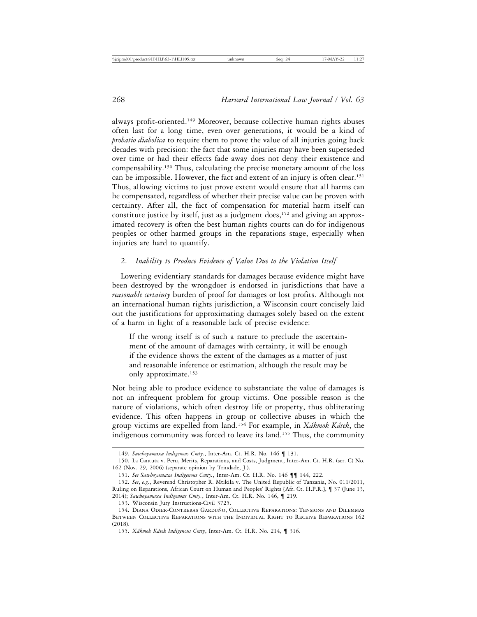always profit-oriented.149 Moreover, because collective human rights abuses often last for a long time, even over generations, it would be a kind of *probatio diabolica* to require them to prove the value of all injuries going back decades with precision: the fact that some injuries may have been superseded over time or had their effects fade away does not deny their existence and compensability.150 Thus, calculating the precise monetary amount of the loss can be impossible. However, the fact and extent of an injury is often clear.151 Thus, allowing victims to just prove extent would ensure that all harms can be compensated, regardless of whether their precise value can be proven with certainty. After all, the fact of compensation for material harm itself can constitute justice by itself, just as a judgment does,<sup>152</sup> and giving an approximated recovery is often the best human rights courts can do for indigenous peoples or other harmed groups in the reparations stage, especially when injuries are hard to quantify.

# 2. *Inability to Produce Evidence of Value Due to the Violation Itself*

Lowering evidentiary standards for damages because evidence might have been destroyed by the wrongdoer is endorsed in jurisdictions that have a *reasonable certainty* burden of proof for damages or lost profits. Although not an international human rights jurisdiction, a Wisconsin court concisely laid out the justifications for approximating damages solely based on the extent of a harm in light of a reasonable lack of precise evidence:

If the wrong itself is of such a nature to preclude the ascertainment of the amount of damages with certainty, it will be enough if the evidence shows the extent of the damages as a matter of just and reasonable inference or estimation, although the result may be only approximate.153

Not being able to produce evidence to substantiate the value of damages is not an infrequent problem for group victims. One possible reason is the nature of violations, which often destroy life or property, thus obliterating evidence. This often happens in group or collective abuses in which the group victims are expelled from land.<sup>154</sup> For example, in *Xákmok Kásek*, the indigenous community was forced to leave its land.155 Thus, the community

<sup>149.</sup> *Sawhoyamaxa Indigenous Cmty.*, Inter-Am. Ct. H.R. No. 146 ¶ 131.

<sup>150.</sup> La Cantuta v. Peru, Merits, Reparations, and Costs, Judgment, Inter-Am. Ct. H.R. (ser. C) No. 162 (Nov. 29, 2006) (separate opinion by Trindade, J.).

<sup>151.</sup> *See Sawhoyamaxa Indigenous Cmty.*, Inter-Am. Ct. H.R. No. 146 ¶¶ 144, 222.

<sup>152.</sup> *See*, *e.g*., Reverend Christopher R. Mtikila v. The United Republic of Tanzania, No. 011/2011, Ruling on Reparations, African Court on Human and Peoples' Rights [Afr. Ct. H.P.R.], ¶ 37 (June 13, 2014); *Sawhoyamaxa Indigenous Cmty.*, Inter-Am. Ct. H.R. No. 146, ¶ 219.

<sup>153.</sup> Wisconsin Jury Instructions-Civil 3725.

<sup>154.</sup> DIANA ODIER-CONTRERAS GARDUÑO, COLLECTIVE REPARATIONS: TENSIONS AND DILEMMAS Between Collective Reparations with the Individual Right to Receive Reparations 162 (2018).

<sup>155.</sup> *X´akmok K´asek Indigenous Cmty*, Inter-Am. Ct. H.R. No. 214, ¶ 316.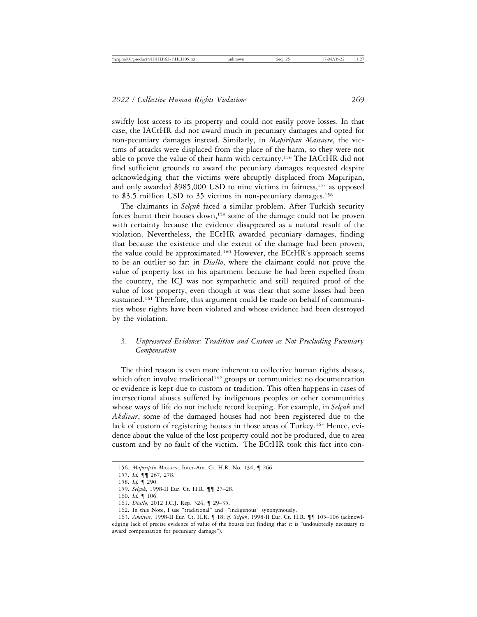swiftly lost access to its property and could not easily prove losses. In that case, the IACtHR did not award much in pecuniary damages and opted for non-pecuniary damages instead. Similarly, in *Mapiripan Massacre*, the victims of attacks were displaced from the place of the harm, so they were not able to prove the value of their harm with certainty.156 The IACtHR did not find sufficient grounds to award the pecuniary damages requested despite acknowledging that the victims were abruptly displaced from Mapiripan, and only awarded  $$985,000$  USD to nine victims in fairness,<sup>157</sup> as opposed to \$3.5 million USD to 35 victims in non-pecuniary damages.<sup>158</sup>

The claimants in *Selçuk* faced a similar problem. After Turkish security forces burnt their houses down,<sup>159</sup> some of the damage could not be proven with certainty because the evidence disappeared as a natural result of the violation. Nevertheless, the ECtHR awarded pecuniary damages, finding that because the existence and the extent of the damage had been proven, the value could be approximated.160 However, the ECtHR's approach seems to be an outlier so far: in *Diallo*, where the claimant could not prove the value of property lost in his apartment because he had been expelled from the country, the ICJ was not sympathetic and still required proof of the value of lost property, even though it was clear that some losses had been sustained.<sup>161</sup> Therefore, this argument could be made on behalf of communities whose rights have been violated and whose evidence had been destroyed by the violation.

# 3. *Unpreserved Evidence: Tradition and Custom as Not Precluding Pecuniary Compensation*

The third reason is even more inherent to collective human rights abuses, which often involve traditional<sup>162</sup> groups or communities: no documentation or evidence is kept due to custom or tradition. This often happens in cases of intersectional abuses suffered by indigenous peoples or other communities whose ways of life do not include record keeping. For example, in *Selçuk* and *Akdivar*, some of the damaged houses had not been registered due to the lack of custom of registering houses in those areas of Turkey.163 Hence, evidence about the value of the lost property could not be produced, due to area custom and by no fault of the victim. The ECtHR took this fact into con-

<sup>156.</sup> *Mapirip´an Massacre*, Inter-Am. Ct. H.R. No. 134, ¶ 266.

<sup>157.</sup> *Id.* ¶¶ 267, 278.

<sup>158.</sup> *Id.* ¶ 290.

<sup>159.</sup> *Selçuk*, 1998-II Eur. Ct. H.R. ¶¶ 27-28.

<sup>160.</sup> *Id.* ¶ 106.

<sup>161.</sup> *Diallo*, 2012 I.C.J. Rep. 324, ¶ 29–35.

<sup>162.</sup> In this Note, I use "traditional" and "indigenous" synonymously.

<sup>163.</sup> Akdivar, 1998-II Eur. Ct. H.R. ¶ 18; cf. Selçuk, 1998-II Eur. Ct. H.R. ¶¶ 105-106 (acknowledging lack of precise evidence of value of the houses but finding that it is "undoubtedly necessary to award compensation for pecuniary damage").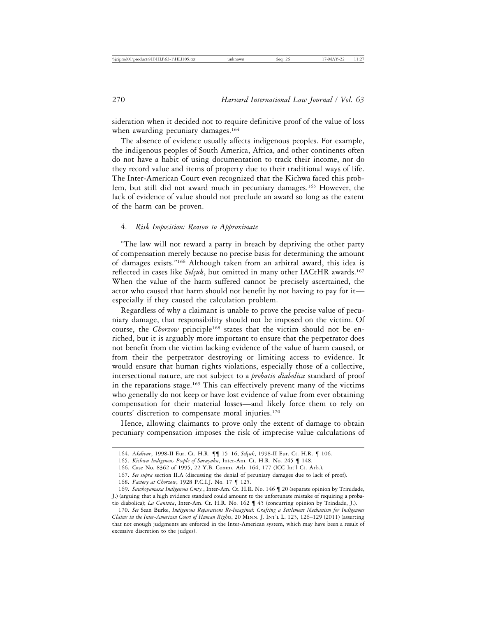sideration when it decided not to require definitive proof of the value of loss when awarding pecuniary damages.<sup>164</sup>

The absence of evidence usually affects indigenous peoples. For example, the indigenous peoples of South America, Africa, and other continents often do not have a habit of using documentation to track their income, nor do they record value and items of property due to their traditional ways of life. The Inter-American Court even recognized that the Kichwa faced this problem, but still did not award much in pecuniary damages.<sup>165</sup> However, the lack of evidence of value should not preclude an award so long as the extent of the harm can be proven.

## 4. *Risk Imposition: Reason to Approximate*

"The law will not reward a party in breach by depriving the other party of compensation merely because no precise basis for determining the amount of damages exists."166 Although taken from an arbitral award, this idea is reflected in cases like *Selçuk*, but omitted in many other IACtHR awards.<sup>167</sup> When the value of the harm suffered cannot be precisely ascertained, the actor who caused that harm should not benefit by not having to pay for it especially if they caused the calculation problem.

Regardless of why a claimant is unable to prove the precise value of pecuniary damage, that responsibility should not be imposed on the victim. Of course, the *Chorzow* principle<sup>168</sup> states that the victim should not be enriched, but it is arguably more important to ensure that the perpetrator does not benefit from the victim lacking evidence of the value of harm caused, or from their the perpetrator destroying or limiting access to evidence. It would ensure that human rights violations, especially those of a collective, intersectional nature, are not subject to a *probatio diabolica* standard of proof in the reparations stage.<sup>169</sup> This can effectively prevent many of the victims who generally do not keep or have lost evidence of value from ever obtaining compensation for their material losses—and likely force them to rely on courts' discretion to compensate moral injuries.170

Hence, allowing claimants to prove only the extent of damage to obtain pecuniary compensation imposes the risk of imprecise value calculations of

<sup>164.</sup> *Akdivar*, 1998-II Eur. Ct. H.R.  $\P$  | 15-16; *Selçuk*, 1998-II Eur. Ct. H.R.  $\P$  106.

<sup>165.</sup> *Kichwa Indigenous People of Sarayaku*, Inter-Am. Ct. H.R. No. 245 ¶ 148.

<sup>166.</sup> Case No. 8362 of 1995, 22 Y.B. Comm. Arb. 164, 177 (ICC Int'l Ct. Arb.).

<sup>167.</sup> *See supra* section II.A (discussing the denial of pecuniary damages due to lack of proof).

<sup>168.</sup> *Factory at Chorzow*, 1928 P.C.I.J. No. 17 ¶ 125.

<sup>169.</sup> *Sawhoyamaxa Indigenous Cmty.*, Inter-Am. Ct. H.R. No. 146 ¶ 20 (separate opinion by Trinidade, J.) (arguing that a high evidence standard could amount to the unfortunate mistake of requiring a probatio diabolica); *La Cantuta*, Inter-Am. Ct. H.R. No. 162 ¶ 45 (concurring opinion by Trindade, J.).

<sup>170.</sup> *See* Sean Burke, *Indigenous Reparations Re-Imagined: Crafting a Settlement Mechanism for Indigenous Claims in the Inter-American Court of Human Rights*, 20 Minn. J. Int'l L. 123, 126–129 (2011) (asserting that not enough judgments are enforced in the Inter-American system, which may have been a result of excessive discretion to the judges).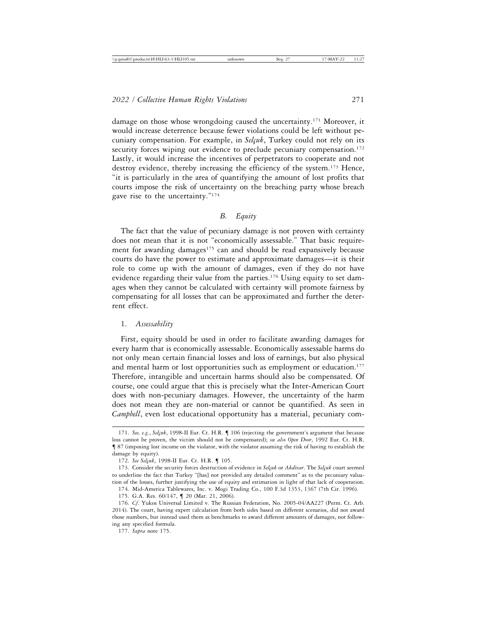damage on those whose wrongdoing caused the uncertainty.171 Moreover, it would increase deterrence because fewer violations could be left without pecuniary compensation. For example, in *Selçuk*, Turkey could not rely on its security forces wiping out evidence to preclude pecuniary compensation.<sup>172</sup> Lastly, it would increase the incentives of perpetrators to cooperate and not destroy evidence, thereby increasing the efficiency of the system.173 Hence, "it is particularly in the area of quantifying the amount of lost profits that courts impose the risk of uncertainty on the breaching party whose breach gave rise to the uncertainty."174

# *B. Equity*

The fact that the value of pecuniary damage is not proven with certainty does not mean that it is not "economically assessable." That basic requirement for awarding damages<sup>175</sup> can and should be read expansively because courts do have the power to estimate and approximate damages—it is their role to come up with the amount of damages, even if they do not have evidence regarding their value from the parties.176 Using equity to set damages when they cannot be calculated with certainty will promote fairness by compensating for all losses that can be approximated and further the deterrent effect.

## 1. *Assessability*

First, equity should be used in order to facilitate awarding damages for every harm that is economically assessable. Economically assessable harms do not only mean certain financial losses and loss of earnings, but also physical and mental harm or lost opportunities such as employment or education.<sup>177</sup> Therefore, intangible and uncertain harms should also be compensated. Of course, one could argue that this is precisely what the Inter-American Court does with non-pecuniary damages. However, the uncertainty of the harm does not mean they are non-material or cannot be quantified. As seen in *Campbell*, even lost educational opportunity has a material, pecuniary com-

<sup>171.</sup> *See, e.g.*, *Selçuk*, 1998-II Eur. Ct. H.R. ¶ 106 (rejecting the government's argument that because loss cannot be proven, the victim should not be compensated); *see also Open Door*, 1992 Eur. Ct. H.R. ¶ 87 (imposing lost income on the violator, with the violator assuming the risk of having to establish the damage by equity).

<sup>172.</sup> See Selçuk, 1998-II Eur. Ct. H.R. ¶ 105.

<sup>173.</sup> Consider the security forces destruction of evidence in *Selçuk* or *Akdivar*. The *Selçuk* court seemed to underline the fact that Turkey "[has] not provided any detailed comment" as to the pecuniary valuation of the losses, further justifying the use of equity and estimation in light of that lack of cooperation.

<sup>174.</sup> Mid-America Tablewares, Inc. v. Mogi Trading Co., 100 F.3d 1353, 1367 (7th Cir. 1996).

<sup>175.</sup> G.A. Res. 60/147, ¶ 20 (Mar. 21, 2006).

<sup>176.</sup> *Cf*. Yukos Universal Limited v. The Russian Federation, No. 2005-04/AA227 (Perm. Ct. Arb. 2014). The court, having expert calculation from both sides based on different scenarios, did not award those numbers, but instead used them as benchmarks to award different amounts of damages, not following any specified formula.

<sup>177.</sup> *Supra* note 175.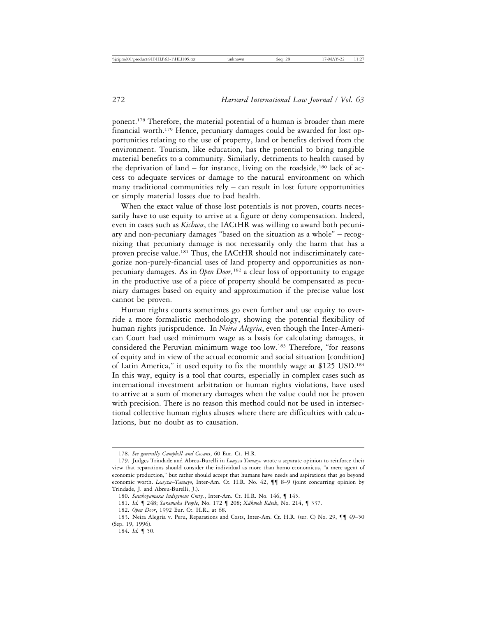ponent.178 Therefore, the material potential of a human is broader than mere financial worth.179 Hence, pecuniary damages could be awarded for lost opportunities relating to the use of property, land or benefits derived from the environment. Tourism, like education, has the potential to bring tangible material benefits to a community. Similarly, detriments to health caused by the deprivation of land – for instance, living on the roadside, $180$  lack of access to adequate services or damage to the natural environment on which many traditional communities  $rely - can result in lost future opportunities$ or simply material losses due to bad health.

When the exact value of those lost potentials is not proven, courts necessarily have to use equity to arrive at a figure or deny compensation. Indeed, even in cases such as *Kichwa*, the IACtHR was willing to award both pecuniary and non-pecuniary damages "based on the situation as a whole" – recognizing that pecuniary damage is not necessarily only the harm that has a proven precise value.<sup>181</sup> Thus, the IACtHR should not indiscriminately categorize non-purely-financial uses of land property and opportunities as nonpecuniary damages. As in *Open Door,*182 a clear loss of opportunity to engage in the productive use of a piece of property should be compensated as pecuniary damages based on equity and approximation if the precise value lost cannot be proven.

Human rights courts sometimes go even further and use equity to override a more formalistic methodology, showing the potential flexibility of human rights jurisprudence. In *Neira Alegria*, even though the Inter-American Court had used minimum wage as a basis for calculating damages, it considered the Peruvian minimum wage too low.183 Therefore, "for reasons of equity and in view of the actual economic and social situation [condition] of Latin America," it used equity to fix the monthly wage at \$125 USD.184 In this way, equity is a tool that courts, especially in complex cases such as international investment arbitration or human rights violations, have used to arrive at a sum of monetary damages when the value could not be proven with precision. There is no reason this method could not be used in intersectional collective human rights abuses where there are difficulties with calculations, but no doubt as to causation.

<sup>178.</sup> *See generally Campbell and Cosans*, 60 Eur. Ct. H.R.

<sup>179.</sup> Judges Trindade and Abreu-Burelli in *Loayza Tamayo* wrote a separate opinion to reinforce their view that reparations should consider the individual as more than homo economicus, "a mere agent of economic production," but rather should accept that humans have needs and aspirations that go beyond economic worth. *Loayza*–*Tamayo*, Inter-Am. Ct. H.R. No. 42, ¶¶ 8–9 (joint concurring opinion by Trindade, J. and Abreu-Burelli, J.).

<sup>180.</sup> *Sawhoyamaxa Indigenous Cmty.*, Inter-Am. Ct. H.R. No. 146, ¶ 145.

<sup>181.</sup> *Id.* ¶ 248; *Saramaka People*, No. 172 ¶ 208; *X´akmok K´asek*, No. 214, ¶ 337.

<sup>182.</sup> *Open Door*, 1992 Eur. Ct. H.R., at 68.

<sup>183.</sup> Neira Alegria v. Peru, Reparations and Costs, Inter-Am. Ct. H.R. (ser. C) No. 29, ¶¶ 49–50 (Sep. 19, 1996).

<sup>184.</sup> *Id.* ¶ 50.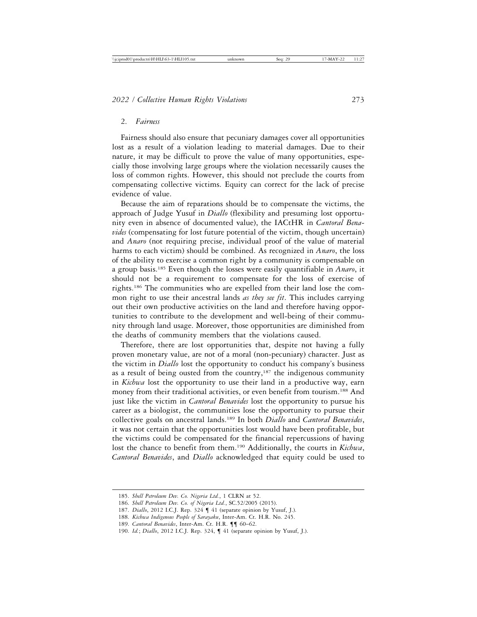## 2. *Fairness*

Fairness should also ensure that pecuniary damages cover all opportunities lost as a result of a violation leading to material damages. Due to their nature, it may be difficult to prove the value of many opportunities, especially those involving large groups where the violation necessarily causes the loss of common rights. However, this should not preclude the courts from compensating collective victims. Equity can correct for the lack of precise evidence of value.

Because the aim of reparations should be to compensate the victims, the approach of Judge Yusuf in *Diallo* (flexibility and presuming lost opportunity even in absence of documented value), the IACtHR in *Cantoral Benavides* (compensating for lost future potential of the victim, though uncertain) and *Anaro* (not requiring precise, individual proof of the value of material harms to each victim) should be combined. As recognized in *Anaro*, the loss of the ability to exercise a common right by a community is compensable on a group basis.185 Even though the losses were easily quantifiable in *Anaro*, it should not be a requirement to compensate for the loss of exercise of rights.186 The communities who are expelled from their land lose the common right to use their ancestral lands *as they see fit*. This includes carrying out their own productive activities on the land and therefore having opportunities to contribute to the development and well-being of their community through land usage. Moreover, those opportunities are diminished from the deaths of community members that the violations caused.

Therefore, there are lost opportunities that, despite not having a fully proven monetary value, are not of a moral (non-pecuniary) character. Just as the victim in *Diallo* lost the opportunity to conduct his company's business as a result of being ousted from the country,<sup>187</sup> the indigenous community in *Kichwa* lost the opportunity to use their land in a productive way, earn money from their traditional activities, or even benefit from tourism.188 And just like the victim in *Cantoral Benavides* lost the opportunity to pursue his career as a biologist, the communities lose the opportunity to pursue their collective goals on ancestral lands.189 In both *Diallo* and *Cantoral Benavides*, it was not certain that the opportunities lost would have been profitable, but the victims could be compensated for the financial repercussions of having lost the chance to benefit from them.190 Additionally, the courts in *Kichwa*, *Cantoral Benavides*, and *Diallo* acknowledged that equity could be used to

<sup>185.</sup> *Shell Petroleum Dev. Co. Nigeria Ltd.*, 1 CLRN at 52.

<sup>186.</sup> *Shell Petroleum Dev. Co. of Nigeria Ltd.*, SC.52/2005 (2015).

<sup>187.</sup> *Diallo*, 2012 I.C.J. Rep. 324 ¶ 41 (separate opinion by Yusuf, J.).

<sup>188.</sup> *Kichwa Indigenous People of Sarayaku*, Inter-Am. Ct. H.R. No. 245.

<sup>189.</sup> *Cantoral Benavides*, Inter-Am. Ct. H.R. ¶¶ 60–62.

<sup>190.</sup> *Id.*; *Diallo*, 2012 I.C.J. Rep. 324, ¶ 41 (separate opinion by Yusuf, J.).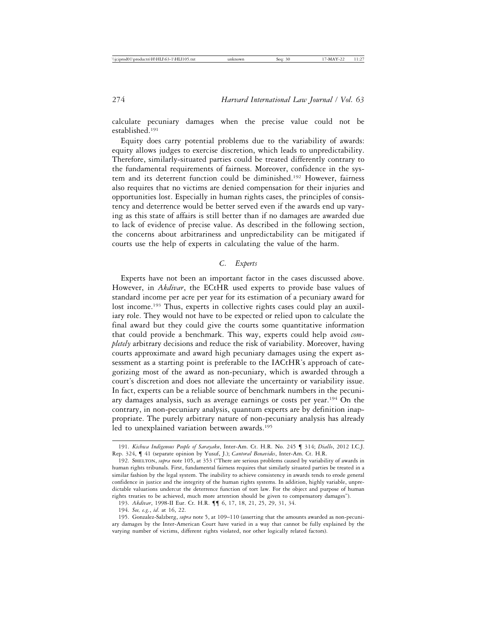calculate pecuniary damages when the precise value could not be established.191

Equity does carry potential problems due to the variability of awards: equity allows judges to exercise discretion, which leads to unpredictability. Therefore, similarly-situated parties could be treated differently contrary to the fundamental requirements of fairness. Moreover, confidence in the system and its deterrent function could be diminished.192 However, fairness also requires that no victims are denied compensation for their injuries and opportunities lost. Especially in human rights cases, the principles of consistency and deterrence would be better served even if the awards end up varying as this state of affairs is still better than if no damages are awarded due to lack of evidence of precise value. As described in the following section, the concerns about arbitrariness and unpredictability can be mitigated if courts use the help of experts in calculating the value of the harm.

# *C. Experts*

Experts have not been an important factor in the cases discussed above. However, in *Akdivar*, the ECtHR used experts to provide base values of standard income per acre per year for its estimation of a pecuniary award for lost income.<sup>193</sup> Thus, experts in collective rights cases could play an auxiliary role. They would not have to be expected or relied upon to calculate the final award but they could give the courts some quantitative information that could provide a benchmark. This way, experts could help avoid *completely* arbitrary decisions and reduce the risk of variability. Moreover, having courts approximate and award high pecuniary damages using the expert assessment as a starting point is preferable to the IACtHR's approach of categorizing most of the award as non-pecuniary, which is awarded through a court's discretion and does not alleviate the uncertainty or variability issue. In fact, experts can be a reliable source of benchmark numbers in the pecuniary damages analysis, such as average earnings or costs per year.194 On the contrary, in non-pecuniary analysis, quantum experts are by definition inappropriate. The purely arbitrary nature of non-pecuniary analysis has already led to unexplained variation between awards.<sup>195</sup>

<sup>191.</sup> *Kichwa Indigenous People of Sarayaku*, Inter-Am. Ct. H.R. No. 245 ¶ 314; *Diallo*, 2012 I.C.J. Rep. 324, ¶ 41 (separate opinion by Yusuf, J.); *Cantoral Benavides*, Inter-Am. Ct. H.R.

<sup>192.</sup> Shelton, *supra* note 105, at 353 ("There are serious problems caused by variability of awards in human rights tribunals. First, fundamental fairness requires that similarly situated parties be treated in a similar fashion by the legal system. The inability to achieve consistency in awards tends to erode general confidence in justice and the integrity of the human rights systems. In addition, highly variable, unpredictable valuations undercut the deterrence function of tort law. For the object and purpose of human rights treaties to be achieved, much more attention should be given to compensatory damages").

<sup>193.</sup> *Akdivar*, 1998-II Eur. Ct. H.R. ¶¶ 6, 17, 18, 21, 25, 29, 31, 34.

<sup>194.</sup> *See, e.g.*, *id*. at 16, 22.

<sup>195.</sup> Gonzalez-Salzberg, *supra* note 5, at 109–110 (asserting that the amounts awarded as non-pecuniary damages by the Inter-American Court have varied in a way that cannot be fully explained by the varying number of victims, different rights violated, nor other logically related factors).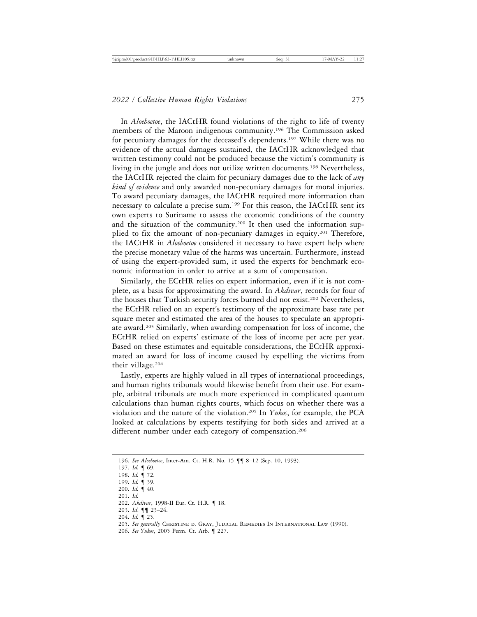In *Aloeboetoe*, the IACtHR found violations of the right to life of twenty members of the Maroon indigenous community.196 The Commission asked for pecuniary damages for the deceased's dependents.197 While there was no evidence of the actual damages sustained, the IACtHR acknowledged that written testimony could not be produced because the victim's community is living in the jungle and does not utilize written documents.198 Nevertheless, the IACtHR rejected the claim for pecuniary damages due to the lack of *any kind of evidence* and only awarded non-pecuniary damages for moral injuries. To award pecuniary damages, the IACtHR required more information than necessary to calculate a precise sum.199 For this reason, the IACtHR sent its own experts to Suriname to assess the economic conditions of the country and the situation of the community.<sup>200</sup> It then used the information supplied to fix the amount of non-pecuniary damages in equity.<sup>201</sup> Therefore, the IACtHR in *Aloeboetoe* considered it necessary to have expert help where the precise monetary value of the harms was uncertain. Furthermore, instead of using the expert-provided sum, it used the experts for benchmark economic information in order to arrive at a sum of compensation.

Similarly, the ECtHR relies on expert information, even if it is not complete, as a basis for approximating the award. In *Akdivar*, records for four of the houses that Turkish security forces burned did not exist.<sup>202</sup> Nevertheless, the ECtHR relied on an expert's testimony of the approximate base rate per square meter and estimated the area of the houses to speculate an appropriate award.203 Similarly, when awarding compensation for loss of income, the ECtHR relied on experts' estimate of the loss of income per acre per year. Based on these estimates and equitable considerations, the ECtHR approximated an award for loss of income caused by expelling the victims from their village.204

Lastly, experts are highly valued in all types of international proceedings, and human rights tribunals would likewise benefit from their use. For example, arbitral tribunals are much more experienced in complicated quantum calculations than human rights courts, which focus on whether there was a violation and the nature of the violation.205 In *Yukos*, for example, the PCA looked at calculations by experts testifying for both sides and arrived at a different number under each category of compensation.<sup>206</sup>

- 200. *Id.* ¶ 40.
- 201. *Id.*

- 203. *Id*. ¶¶ 23–24.
- 204. *Id.* ¶ 25.
- 205. *See generally* Christine d. Gray, Judicial Remedies In International Law (1990).
- 206. *See Yukos*, 2005 Perm. Ct. Arb. ¶ 227.

<sup>196.</sup> *See Aloeboetoe*, Inter-Am. Ct. H.R. No. 15 ¶¶ 8–12 (Sep. 10, 1993).

<sup>197.</sup> *Id.* ¶ 69.

<sup>198.</sup> *Id.* ¶ 72.

<sup>199.</sup> *Id.* ¶ 39.

<sup>202.</sup> *Akdivar*, 1998-II Eur. Ct. H.R. ¶ 18.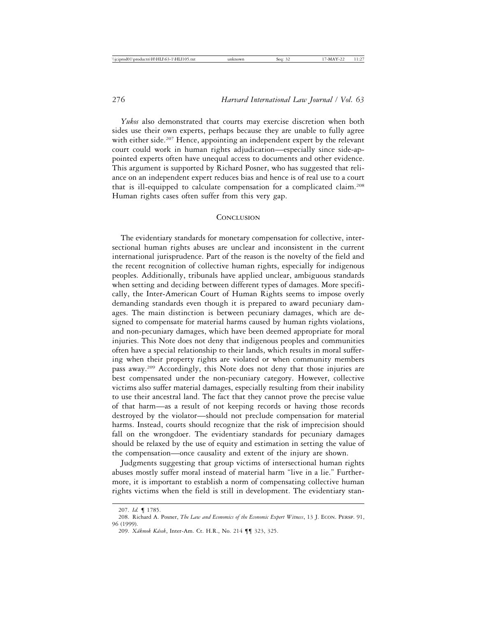*Yukos* also demonstrated that courts may exercise discretion when both sides use their own experts, perhaps because they are unable to fully agree with either side.<sup>207</sup> Hence, appointing an independent expert by the relevant court could work in human rights adjudication—especially since side-appointed experts often have unequal access to documents and other evidence. This argument is supported by Richard Posner, who has suggested that reliance on an independent expert reduces bias and hence is of real use to a court that is ill-equipped to calculate compensation for a complicated claim.208 Human rights cases often suffer from this very gap.

#### **CONCLUSION**

The evidentiary standards for monetary compensation for collective, intersectional human rights abuses are unclear and inconsistent in the current international jurisprudence. Part of the reason is the novelty of the field and the recent recognition of collective human rights, especially for indigenous peoples. Additionally, tribunals have applied unclear, ambiguous standards when setting and deciding between different types of damages. More specifically, the Inter-American Court of Human Rights seems to impose overly demanding standards even though it is prepared to award pecuniary damages. The main distinction is between pecuniary damages, which are designed to compensate for material harms caused by human rights violations, and non-pecuniary damages, which have been deemed appropriate for moral injuries. This Note does not deny that indigenous peoples and communities often have a special relationship to their lands, which results in moral suffering when their property rights are violated or when community members pass away.209 Accordingly, this Note does not deny that those injuries are best compensated under the non-pecuniary category. However, collective victims also suffer material damages, especially resulting from their inability to use their ancestral land. The fact that they cannot prove the precise value of that harm—as a result of not keeping records or having those records destroyed by the violator—should not preclude compensation for material harms. Instead, courts should recognize that the risk of imprecision should fall on the wrongdoer. The evidentiary standards for pecuniary damages should be relaxed by the use of equity and estimation in setting the value of the compensation—once causality and extent of the injury are shown.

Judgments suggesting that group victims of intersectional human rights abuses mostly suffer moral instead of material harm "live in a lie." Furthermore, it is important to establish a norm of compensating collective human rights victims when the field is still in development. The evidentiary stan-

<sup>207.</sup> *Id.* ¶ 1785.

<sup>208.</sup> Richard A. Posner, *The Law and Economics of the Economic Expert Witness*, 13 J. Econ. Persp. 91, 96 (1999).

<sup>209.</sup> *X´akmok K´asek*, Inter-Am. Ct. H.R., No. 214 ¶¶ 323, 325.